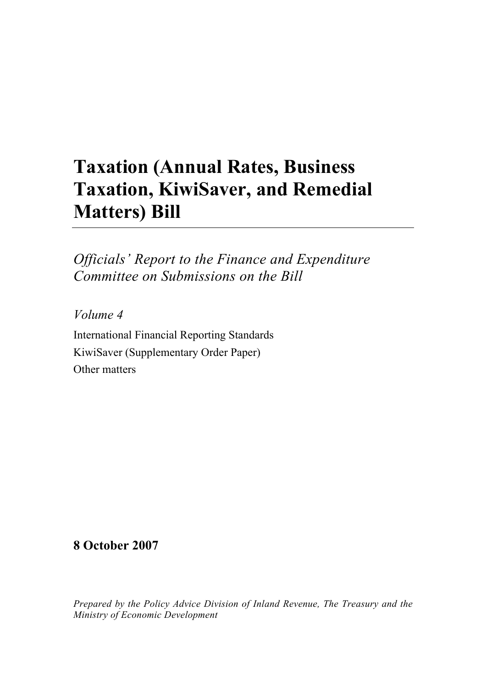## **Taxation (Annual Rates, Business Taxation, KiwiSaver, and Remedial Matters) Bill**

*Officials' Report to the Finance and Expenditure Committee on Submissions on the Bill* 

*Volume 4* 

International Financial Reporting Standards KiwiSaver (Supplementary Order Paper) Other matters

**8 October 2007** 

*Prepared by the Policy Advice Division of Inland Revenue, The Treasury and the Ministry of Economic Development*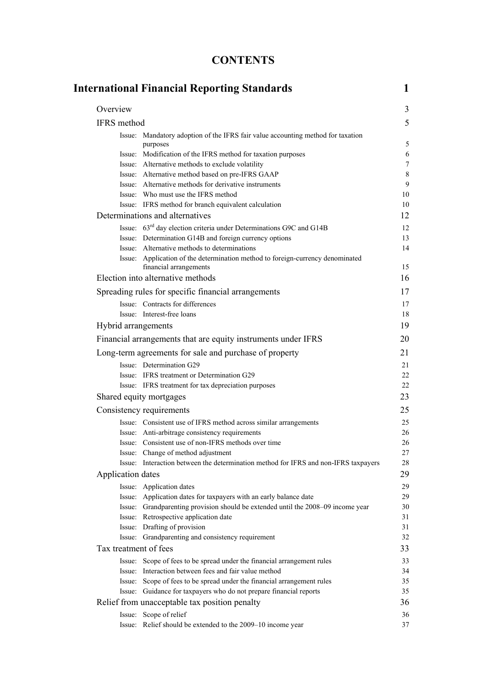## **CONTENTS**

|                       | <b>International Financial Reporting Standards</b>                                                                               |  |
|-----------------------|----------------------------------------------------------------------------------------------------------------------------------|--|
| Overview              |                                                                                                                                  |  |
| IFRS method           |                                                                                                                                  |  |
|                       | Issue: Mandatory adoption of the IFRS fair value accounting method for taxation                                                  |  |
|                       | purposes                                                                                                                         |  |
|                       | Issue: Modification of the IFRS method for taxation purposes                                                                     |  |
|                       | Issue: Alternative methods to exclude volatility                                                                                 |  |
|                       | Issue: Alternative method based on pre-IFRS GAAP                                                                                 |  |
|                       | Issue: Alternative methods for derivative instruments<br>Issue: Who must use the IFRS method                                     |  |
|                       | Issue: IFRS method for branch equivalent calculation                                                                             |  |
|                       | Determinations and alternatives                                                                                                  |  |
|                       | Issue: 63 <sup>rd</sup> day election criteria under Determinations G9C and G14B                                                  |  |
|                       | Issue: Determination G14B and foreign currency options                                                                           |  |
|                       | Issue: Alternative methods to determinations                                                                                     |  |
|                       | Issue: Application of the determination method to foreign-currency denominated                                                   |  |
|                       | financial arrangements                                                                                                           |  |
|                       | Election into alternative methods                                                                                                |  |
|                       | Spreading rules for specific financial arrangements                                                                              |  |
|                       | Issue: Contracts for differences                                                                                                 |  |
|                       | Issue: Interest-free loans                                                                                                       |  |
| Hybrid arrangements   |                                                                                                                                  |  |
|                       | Financial arrangements that are equity instruments under IFRS                                                                    |  |
|                       | Long-term agreements for sale and purchase of property                                                                           |  |
|                       | Issue: Determination G29                                                                                                         |  |
|                       | Issue: IFRS treatment or Determination G29                                                                                       |  |
|                       | Issue: IFRS treatment for tax depreciation purposes                                                                              |  |
|                       | Shared equity mortgages                                                                                                          |  |
|                       | Consistency requirements                                                                                                         |  |
|                       | Issue: Consistent use of IFRS method across similar arrangements                                                                 |  |
|                       | Issue: Anti-arbitrage consistency requirements                                                                                   |  |
|                       | Issue: Consistent use of non-IFRS methods over time                                                                              |  |
|                       | Issue: Change of method adjustment                                                                                               |  |
|                       | Issue: Interaction between the determination method for IFRS and non-IFRS taxpayers                                              |  |
| Application dates     |                                                                                                                                  |  |
|                       | Issue: Application dates                                                                                                         |  |
|                       | Issue: Application dates for taxpayers with an early balance date                                                                |  |
|                       | Issue: Grandparenting provision should be extended until the 2008-09 income year                                                 |  |
|                       | Issue: Retrospective application date                                                                                            |  |
|                       | Issue: Drafting of provision<br>Issue: Grandparenting and consistency requirement                                                |  |
| Tax treatment of fees |                                                                                                                                  |  |
|                       |                                                                                                                                  |  |
|                       | Issue: Scope of fees to be spread under the financial arrangement rules<br>Issue: Interaction between fees and fair value method |  |
|                       | Issue: Scope of fees to be spread under the financial arrangement rules                                                          |  |
|                       | Issue: Guidance for taxpayers who do not prepare financial reports                                                               |  |
|                       | Relief from unacceptable tax position penalty                                                                                    |  |
|                       | Issue: Scope of relief                                                                                                           |  |
|                       |                                                                                                                                  |  |
|                       | Issue: Relief should be extended to the 2009-10 income year                                                                      |  |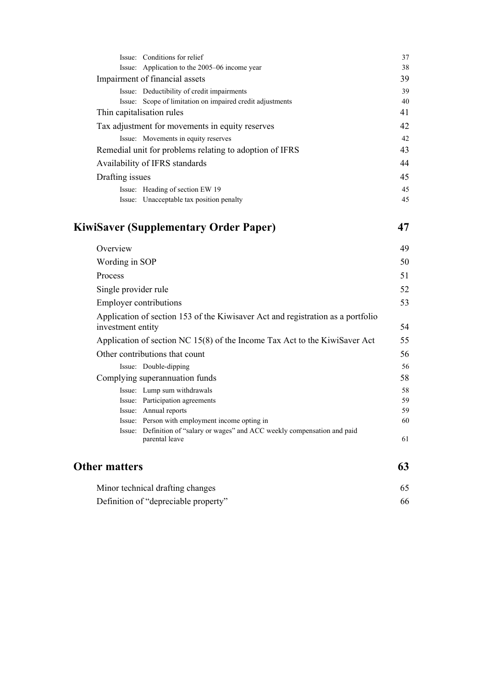| Issue: Conditions for relief                                                                                                  | 37       |  |  |
|-------------------------------------------------------------------------------------------------------------------------------|----------|--|--|
| Issue: Application to the 2005-06 income year                                                                                 | 38       |  |  |
| Impairment of financial assets                                                                                                | 39       |  |  |
| Issue: Deductibility of credit impairments                                                                                    | 39       |  |  |
| Issue: Scope of limitation on impaired credit adjustments<br>Thin capitalisation rules                                        | 40<br>41 |  |  |
|                                                                                                                               | 42       |  |  |
| Tax adjustment for movements in equity reserves<br>Issue: Movements in equity reserves                                        |          |  |  |
| Remedial unit for problems relating to adoption of IFRS                                                                       |          |  |  |
| Availability of IFRS standards                                                                                                |          |  |  |
|                                                                                                                               |          |  |  |
| Drafting issues                                                                                                               | 45<br>45 |  |  |
| Issue: Heading of section EW 19<br>Issue: Unacceptable tax position penalty                                                   | 45       |  |  |
|                                                                                                                               |          |  |  |
| <b>KiwiSaver (Supplementary Order Paper)</b>                                                                                  | 47       |  |  |
| Overview                                                                                                                      | 49       |  |  |
| Wording in SOP                                                                                                                | 50       |  |  |
| Process                                                                                                                       | 51       |  |  |
| Single provider rule                                                                                                          | 52       |  |  |
| <b>Employer contributions</b>                                                                                                 |          |  |  |
| Application of section 153 of the Kiwisaver Act and registration as a portfolio                                               | 53       |  |  |
| investment entity                                                                                                             | 54       |  |  |
| Application of section NC 15(8) of the Income Tax Act to the KiwiSaver Act                                                    | 55       |  |  |
| Other contributions that count                                                                                                | 56       |  |  |
| Issue: Double-dipping                                                                                                         | 56       |  |  |
| Complying superannuation funds                                                                                                | 58       |  |  |
| Issue: Lump sum withdrawals                                                                                                   | 58       |  |  |
| Issue: Participation agreements                                                                                               | 59       |  |  |
| Issue: Annual reports                                                                                                         | 59       |  |  |
| Issue: Person with employment income opting in<br>Issue: Definition of "salary or wages" and ACC weekly compensation and paid | 60       |  |  |
| parental leave                                                                                                                | 61       |  |  |
| <b>Other matters</b>                                                                                                          | 63       |  |  |
| Minor technical drafting changes                                                                                              |          |  |  |

Definition of "depreciable property" 66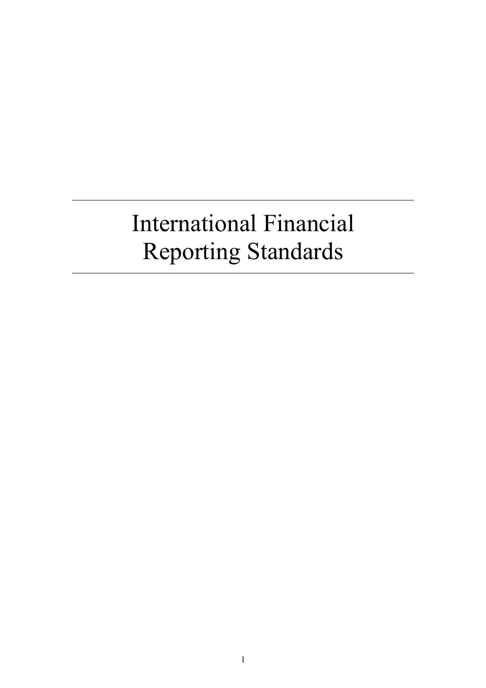# International Financial Reporting Standards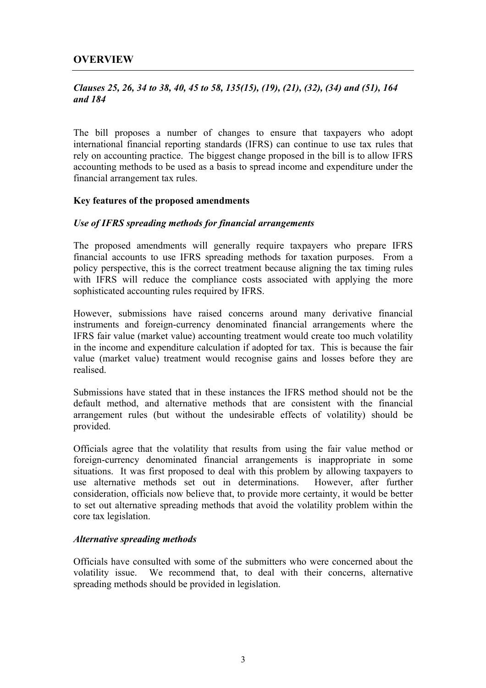## *Clauses 25, 26, 34 to 38, 40, 45 to 58, 135(15), (19), (21), (32), (34) and (51), 164 and 184*

The bill proposes a number of changes to ensure that taxpayers who adopt international financial reporting standards (IFRS) can continue to use tax rules that rely on accounting practice. The biggest change proposed in the bill is to allow IFRS accounting methods to be used as a basis to spread income and expenditure under the financial arrangement tax rules.

## **Key features of the proposed amendments**

## *Use of IFRS spreading methods for financial arrangements*

The proposed amendments will generally require taxpayers who prepare IFRS financial accounts to use IFRS spreading methods for taxation purposes. From a policy perspective, this is the correct treatment because aligning the tax timing rules with IFRS will reduce the compliance costs associated with applying the more sophisticated accounting rules required by IFRS.

However, submissions have raised concerns around many derivative financial instruments and foreign-currency denominated financial arrangements where the IFRS fair value (market value) accounting treatment would create too much volatility in the income and expenditure calculation if adopted for tax. This is because the fair value (market value) treatment would recognise gains and losses before they are realised.

Submissions have stated that in these instances the IFRS method should not be the default method, and alternative methods that are consistent with the financial arrangement rules (but without the undesirable effects of volatility) should be provided.

Officials agree that the volatility that results from using the fair value method or foreign-currency denominated financial arrangements is inappropriate in some situations. It was first proposed to deal with this problem by allowing taxpayers to use alternative methods set out in determinations. However, after further consideration, officials now believe that, to provide more certainty, it would be better to set out alternative spreading methods that avoid the volatility problem within the core tax legislation.

## *Alternative spreading methods*

Officials have consulted with some of the submitters who were concerned about the volatility issue. We recommend that, to deal with their concerns, alternative spreading methods should be provided in legislation.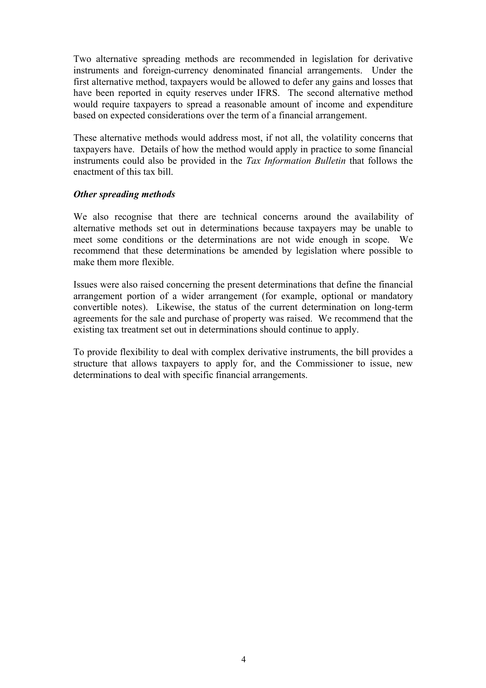Two alternative spreading methods are recommended in legislation for derivative instruments and foreign-currency denominated financial arrangements. Under the first alternative method, taxpayers would be allowed to defer any gains and losses that have been reported in equity reserves under IFRS. The second alternative method would require taxpayers to spread a reasonable amount of income and expenditure based on expected considerations over the term of a financial arrangement.

These alternative methods would address most, if not all, the volatility concerns that taxpayers have. Details of how the method would apply in practice to some financial instruments could also be provided in the *Tax Information Bulletin* that follows the enactment of this tax bill.

## *Other spreading methods*

We also recognise that there are technical concerns around the availability of alternative methods set out in determinations because taxpayers may be unable to meet some conditions or the determinations are not wide enough in scope. We recommend that these determinations be amended by legislation where possible to make them more flexible.

Issues were also raised concerning the present determinations that define the financial arrangement portion of a wider arrangement (for example, optional or mandatory convertible notes). Likewise, the status of the current determination on long-term agreements for the sale and purchase of property was raised. We recommend that the existing tax treatment set out in determinations should continue to apply.

To provide flexibility to deal with complex derivative instruments, the bill provides a structure that allows taxpayers to apply for, and the Commissioner to issue, new determinations to deal with specific financial arrangements.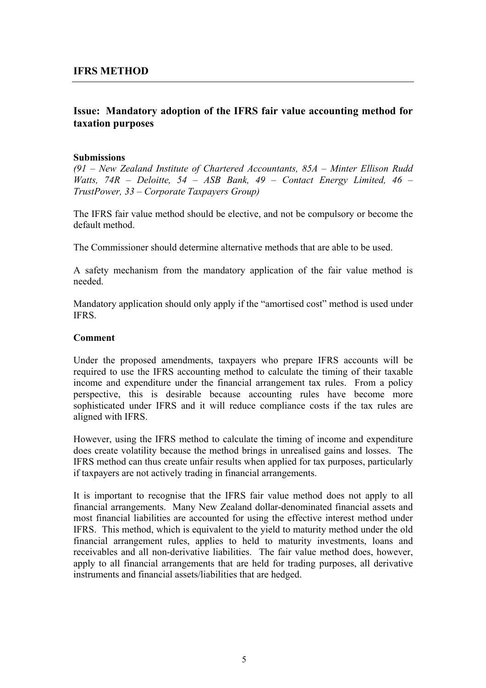## **Issue: Mandatory adoption of the IFRS fair value accounting method for taxation purposes**

#### **Submissions**

*(91 – New Zealand Institute of Chartered Accountants, 85A – Minter Ellison Rudd Watts, 74R – Deloitte, 54 – ASB Bank, 49 – Contact Energy Limited, 46 – TrustPower, 33 – Corporate Taxpayers Group)* 

The IFRS fair value method should be elective, and not be compulsory or become the default method.

The Commissioner should determine alternative methods that are able to be used.

A safety mechanism from the mandatory application of the fair value method is needed.

Mandatory application should only apply if the "amortised cost" method is used under IFRS.

#### **Comment**

Under the proposed amendments, taxpayers who prepare IFRS accounts will be required to use the IFRS accounting method to calculate the timing of their taxable income and expenditure under the financial arrangement tax rules. From a policy perspective, this is desirable because accounting rules have become more sophisticated under IFRS and it will reduce compliance costs if the tax rules are aligned with IFRS.

However, using the IFRS method to calculate the timing of income and expenditure does create volatility because the method brings in unrealised gains and losses. The IFRS method can thus create unfair results when applied for tax purposes, particularly if taxpayers are not actively trading in financial arrangements.

It is important to recognise that the IFRS fair value method does not apply to all financial arrangements. Many New Zealand dollar-denominated financial assets and most financial liabilities are accounted for using the effective interest method under IFRS. This method, which is equivalent to the yield to maturity method under the old financial arrangement rules, applies to held to maturity investments, loans and receivables and all non-derivative liabilities. The fair value method does, however, apply to all financial arrangements that are held for trading purposes, all derivative instruments and financial assets/liabilities that are hedged.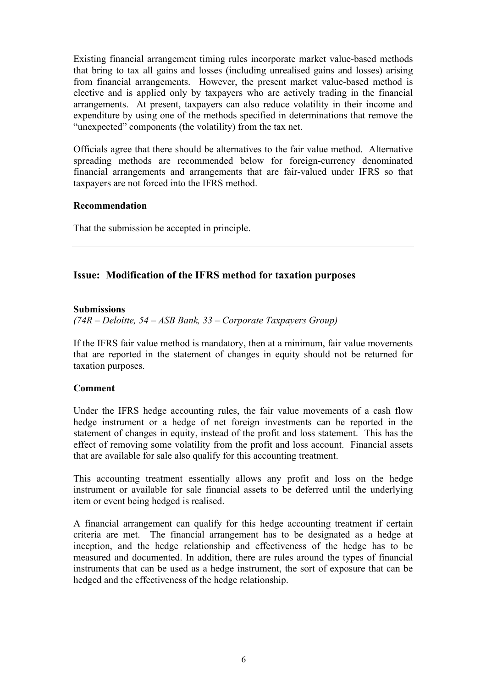Existing financial arrangement timing rules incorporate market value-based methods that bring to tax all gains and losses (including unrealised gains and losses) arising from financial arrangements. However, the present market value-based method is elective and is applied only by taxpayers who are actively trading in the financial arrangements. At present, taxpayers can also reduce volatility in their income and expenditure by using one of the methods specified in determinations that remove the "unexpected" components (the volatility) from the tax net.

Officials agree that there should be alternatives to the fair value method. Alternative spreading methods are recommended below for foreign-currency denominated financial arrangements and arrangements that are fair-valued under IFRS so that taxpayers are not forced into the IFRS method.

## **Recommendation**

That the submission be accepted in principle.

## **Issue: Modification of the IFRS method for taxation purposes**

#### **Submissions**

*(74R – Deloitte, 54 – ASB Bank, 33 – Corporate Taxpayers Group)* 

If the IFRS fair value method is mandatory, then at a minimum, fair value movements that are reported in the statement of changes in equity should not be returned for taxation purposes.

## **Comment**

Under the IFRS hedge accounting rules, the fair value movements of a cash flow hedge instrument or a hedge of net foreign investments can be reported in the statement of changes in equity, instead of the profit and loss statement. This has the effect of removing some volatility from the profit and loss account. Financial assets that are available for sale also qualify for this accounting treatment.

This accounting treatment essentially allows any profit and loss on the hedge instrument or available for sale financial assets to be deferred until the underlying item or event being hedged is realised.

A financial arrangement can qualify for this hedge accounting treatment if certain criteria are met. The financial arrangement has to be designated as a hedge at inception, and the hedge relationship and effectiveness of the hedge has to be measured and documented. In addition, there are rules around the types of financial instruments that can be used as a hedge instrument, the sort of exposure that can be hedged and the effectiveness of the hedge relationship.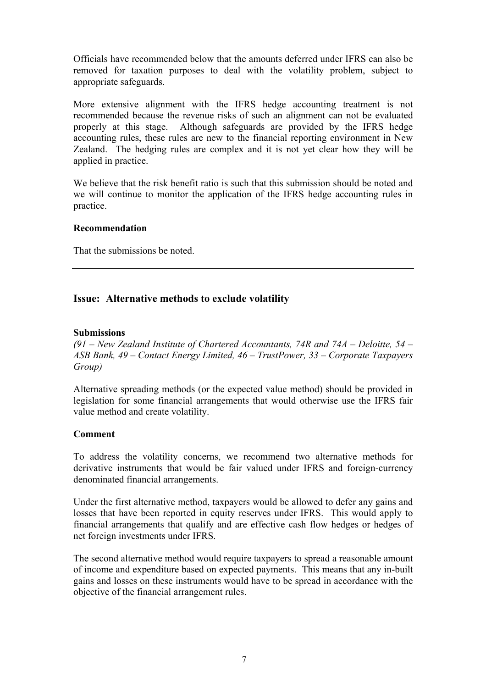Officials have recommended below that the amounts deferred under IFRS can also be removed for taxation purposes to deal with the volatility problem, subject to appropriate safeguards.

More extensive alignment with the IFRS hedge accounting treatment is not recommended because the revenue risks of such an alignment can not be evaluated properly at this stage. Although safeguards are provided by the IFRS hedge accounting rules, these rules are new to the financial reporting environment in New Zealand. The hedging rules are complex and it is not yet clear how they will be applied in practice.

We believe that the risk benefit ratio is such that this submission should be noted and we will continue to monitor the application of the IFRS hedge accounting rules in practice.

## **Recommendation**

That the submissions be noted.

## **Issue: Alternative methods to exclude volatility**

## **Submissions**

*(91 – New Zealand Institute of Chartered Accountants, 74R and 74A – Deloitte, 54 – ASB Bank, 49 – Contact Energy Limited, 46 – TrustPower, 33 – Corporate Taxpayers Group)* 

Alternative spreading methods (or the expected value method) should be provided in legislation for some financial arrangements that would otherwise use the IFRS fair value method and create volatility.

## **Comment**

To address the volatility concerns, we recommend two alternative methods for derivative instruments that would be fair valued under IFRS and foreign-currency denominated financial arrangements.

Under the first alternative method, taxpayers would be allowed to defer any gains and losses that have been reported in equity reserves under IFRS. This would apply to financial arrangements that qualify and are effective cash flow hedges or hedges of net foreign investments under IFRS.

The second alternative method would require taxpayers to spread a reasonable amount of income and expenditure based on expected payments. This means that any in-built gains and losses on these instruments would have to be spread in accordance with the objective of the financial arrangement rules.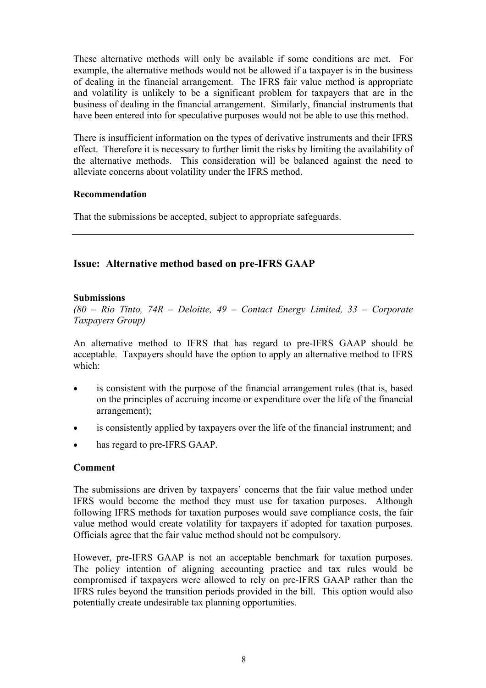These alternative methods will only be available if some conditions are met. For example, the alternative methods would not be allowed if a taxpayer is in the business of dealing in the financial arrangement. The IFRS fair value method is appropriate and volatility is unlikely to be a significant problem for taxpayers that are in the business of dealing in the financial arrangement. Similarly, financial instruments that have been entered into for speculative purposes would not be able to use this method.

There is insufficient information on the types of derivative instruments and their IFRS effect. Therefore it is necessary to further limit the risks by limiting the availability of the alternative methods. This consideration will be balanced against the need to alleviate concerns about volatility under the IFRS method.

## **Recommendation**

That the submissions be accepted, subject to appropriate safeguards.

## **Issue: Alternative method based on pre-IFRS GAAP**

## **Submissions**

*(80 – Rio Tinto, 74R – Deloitte, 49 – Contact Energy Limited, 33 – Corporate Taxpayers Group)* 

An alternative method to IFRS that has regard to pre-IFRS GAAP should be acceptable. Taxpayers should have the option to apply an alternative method to IFRS which:

- is consistent with the purpose of the financial arrangement rules (that is, based on the principles of accruing income or expenditure over the life of the financial arrangement);
- is consistently applied by taxpayers over the life of the financial instrument; and
- has regard to pre-IFRS GAAP.

## **Comment**

The submissions are driven by taxpayers' concerns that the fair value method under IFRS would become the method they must use for taxation purposes. Although following IFRS methods for taxation purposes would save compliance costs, the fair value method would create volatility for taxpayers if adopted for taxation purposes. Officials agree that the fair value method should not be compulsory.

However, pre-IFRS GAAP is not an acceptable benchmark for taxation purposes. The policy intention of aligning accounting practice and tax rules would be compromised if taxpayers were allowed to rely on pre-IFRS GAAP rather than the IFRS rules beyond the transition periods provided in the bill. This option would also potentially create undesirable tax planning opportunities.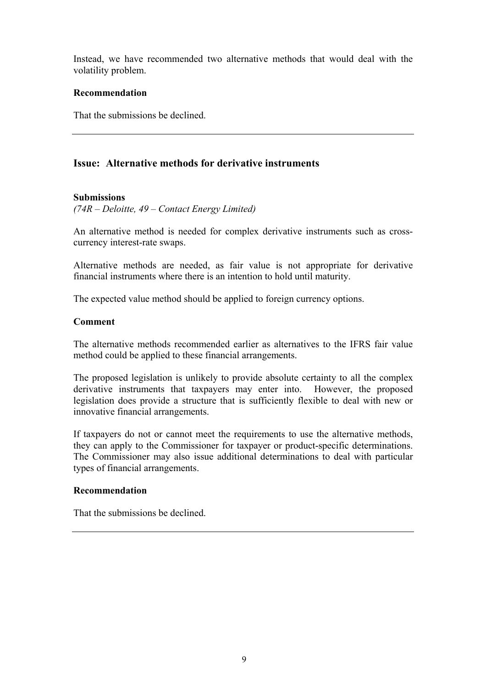Instead, we have recommended two alternative methods that would deal with the volatility problem.

#### **Recommendation**

That the submissions be declined.

## **Issue: Alternative methods for derivative instruments**

#### **Submissions**

*(74R – Deloitte, 49 – Contact Energy Limited)* 

An alternative method is needed for complex derivative instruments such as crosscurrency interest-rate swaps.

Alternative methods are needed, as fair value is not appropriate for derivative financial instruments where there is an intention to hold until maturity.

The expected value method should be applied to foreign currency options.

## **Comment**

The alternative methods recommended earlier as alternatives to the IFRS fair value method could be applied to these financial arrangements.

The proposed legislation is unlikely to provide absolute certainty to all the complex derivative instruments that taxpayers may enter into. However, the proposed legislation does provide a structure that is sufficiently flexible to deal with new or innovative financial arrangements.

If taxpayers do not or cannot meet the requirements to use the alternative methods, they can apply to the Commissioner for taxpayer or product-specific determinations. The Commissioner may also issue additional determinations to deal with particular types of financial arrangements.

#### **Recommendation**

That the submissions be declined.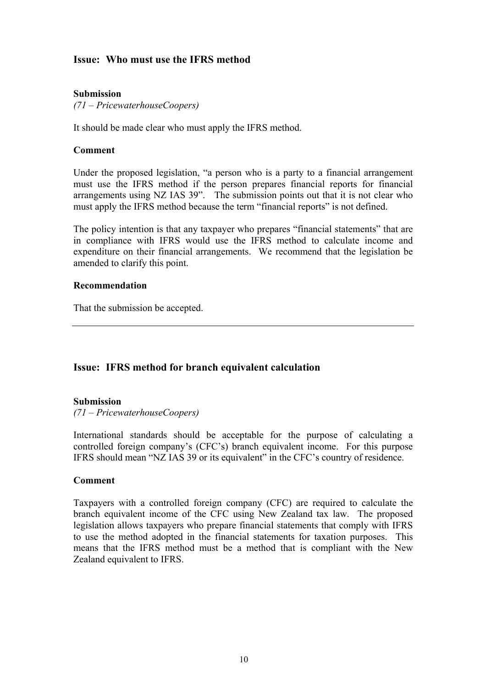## **Issue: Who must use the IFRS method**

#### **Submission**

*(71 – PricewaterhouseCoopers)* 

It should be made clear who must apply the IFRS method.

#### **Comment**

Under the proposed legislation, "a person who is a party to a financial arrangement must use the IFRS method if the person prepares financial reports for financial arrangements using NZ IAS 39". The submission points out that it is not clear who must apply the IFRS method because the term "financial reports" is not defined.

The policy intention is that any taxpayer who prepares "financial statements" that are in compliance with IFRS would use the IFRS method to calculate income and expenditure on their financial arrangements. We recommend that the legislation be amended to clarify this point.

#### **Recommendation**

That the submission be accepted.

## **Issue: IFRS method for branch equivalent calculation**

#### **Submission**

*(71 – PricewaterhouseCoopers)* 

International standards should be acceptable for the purpose of calculating a controlled foreign company's (CFC's) branch equivalent income. For this purpose IFRS should mean "NZ IAS 39 or its equivalent" in the CFC's country of residence.

#### **Comment**

Taxpayers with a controlled foreign company (CFC) are required to calculate the branch equivalent income of the CFC using New Zealand tax law. The proposed legislation allows taxpayers who prepare financial statements that comply with IFRS to use the method adopted in the financial statements for taxation purposes. This means that the IFRS method must be a method that is compliant with the New Zealand equivalent to IFRS.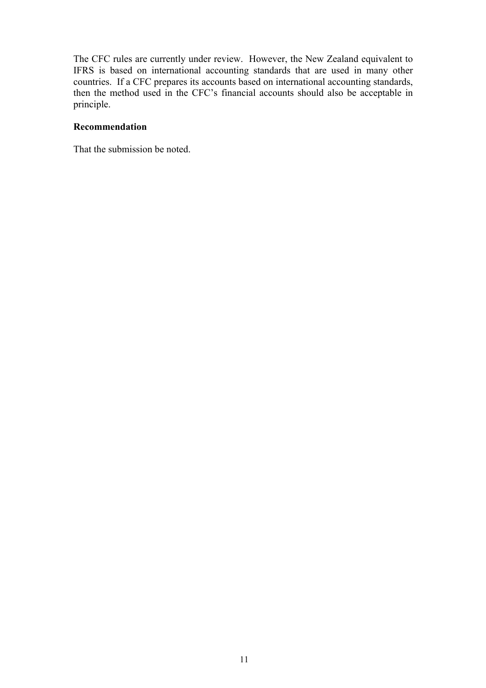The CFC rules are currently under review. However, the New Zealand equivalent to IFRS is based on international accounting standards that are used in many other countries. If a CFC prepares its accounts based on international accounting standards, then the method used in the CFC's financial accounts should also be acceptable in principle.

## **Recommendation**

That the submission be noted.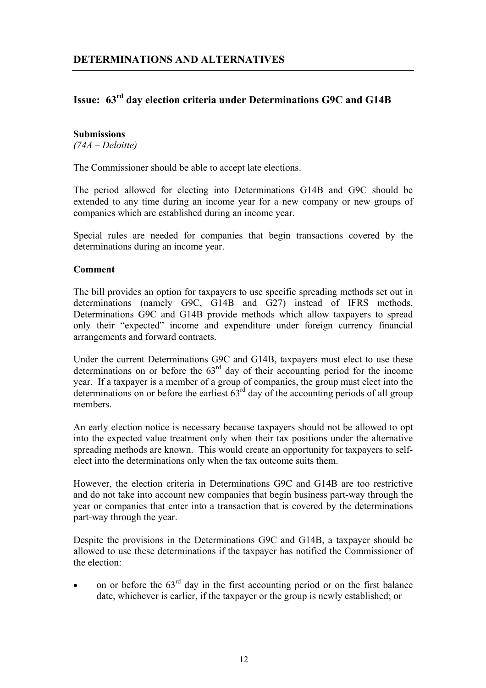## **Issue: 63rd day election criteria under Determinations G9C and G14B**

#### **Submissions**

*(74A – Deloitte)* 

The Commissioner should be able to accept late elections.

The period allowed for electing into Determinations G14B and G9C should be extended to any time during an income year for a new company or new groups of companies which are established during an income year.

Special rules are needed for companies that begin transactions covered by the determinations during an income year.

## **Comment**

The bill provides an option for taxpayers to use specific spreading methods set out in determinations (namely G9C, G14B and G27) instead of IFRS methods. Determinations G9C and G14B provide methods which allow taxpayers to spread only their "expected" income and expenditure under foreign currency financial arrangements and forward contracts.

Under the current Determinations G9C and G14B, taxpayers must elect to use these determinations on or before the  $63<sup>rd</sup>$  day of their accounting period for the income year. If a taxpayer is a member of a group of companies, the group must elect into the determinations on or before the earliest  $63<sup>rd</sup>$  day of the accounting periods of all group members.

An early election notice is necessary because taxpayers should not be allowed to opt into the expected value treatment only when their tax positions under the alternative spreading methods are known. This would create an opportunity for taxpayers to selfelect into the determinations only when the tax outcome suits them.

However, the election criteria in Determinations G9C and G14B are too restrictive and do not take into account new companies that begin business part-way through the year or companies that enter into a transaction that is covered by the determinations part-way through the year.

Despite the provisions in the Determinations G9C and G14B, a taxpayer should be allowed to use these determinations if the taxpayer has notified the Commissioner of the election:

• on or before the  $63<sup>rd</sup>$  day in the first accounting period or on the first balance date, whichever is earlier, if the taxpayer or the group is newly established; or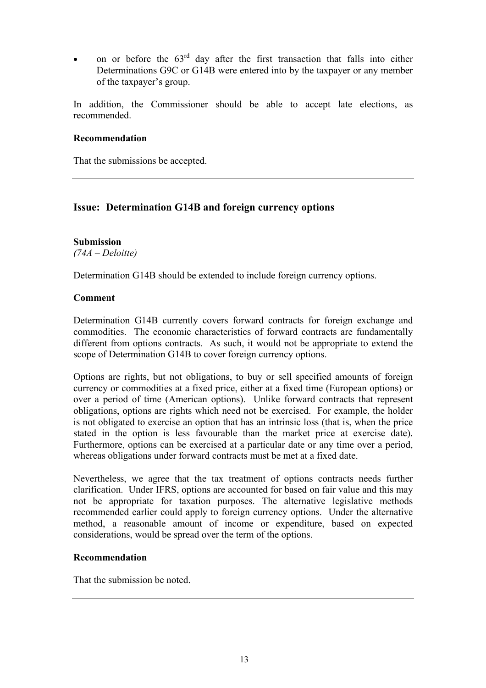• on or before the  $63<sup>rd</sup>$  day after the first transaction that falls into either Determinations G9C or G14B were entered into by the taxpayer or any member of the taxpayer's group.

In addition, the Commissioner should be able to accept late elections, as recommended.

## **Recommendation**

That the submissions be accepted.

## **Issue: Determination G14B and foreign currency options**

## **Submission**  *(74A – Deloitte)*

Determination G14B should be extended to include foreign currency options.

## **Comment**

Determination G14B currently covers forward contracts for foreign exchange and commodities. The economic characteristics of forward contracts are fundamentally different from options contracts. As such, it would not be appropriate to extend the scope of Determination G14B to cover foreign currency options.

Options are rights, but not obligations, to buy or sell specified amounts of foreign currency or commodities at a fixed price, either at a fixed time (European options) or over a period of time (American options). Unlike forward contracts that represent obligations, options are rights which need not be exercised. For example, the holder is not obligated to exercise an option that has an intrinsic loss (that is, when the price stated in the option is less favourable than the market price at exercise date). Furthermore, options can be exercised at a particular date or any time over a period, whereas obligations under forward contracts must be met at a fixed date.

Nevertheless, we agree that the tax treatment of options contracts needs further clarification. Under IFRS, options are accounted for based on fair value and this may not be appropriate for taxation purposes. The alternative legislative methods recommended earlier could apply to foreign currency options. Under the alternative method, a reasonable amount of income or expenditure, based on expected considerations, would be spread over the term of the options.

## **Recommendation**

That the submission be noted.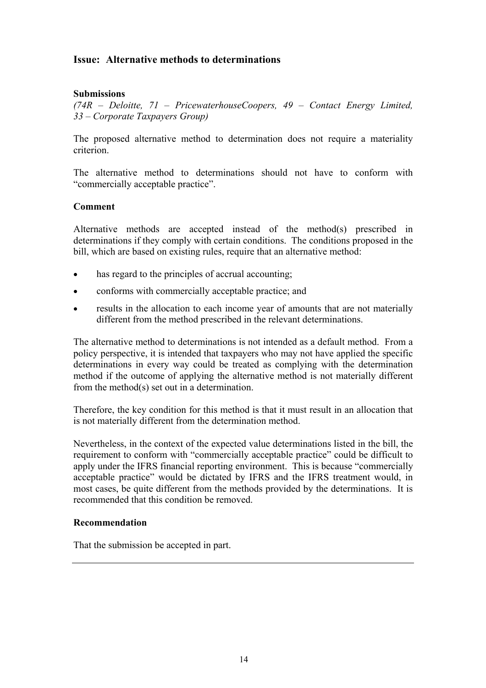## **Issue: Alternative methods to determinations**

## **Submissions**

*(74R – Deloitte, 71 – PricewaterhouseCoopers, 49 – Contact Energy Limited, 33 – Corporate Taxpayers Group)* 

The proposed alternative method to determination does not require a materiality criterion.

The alternative method to determinations should not have to conform with "commercially acceptable practice".

## **Comment**

Alternative methods are accepted instead of the method(s) prescribed in determinations if they comply with certain conditions. The conditions proposed in the bill, which are based on existing rules, require that an alternative method:

- has regard to the principles of accrual accounting;
- conforms with commercially acceptable practice; and
- results in the allocation to each income year of amounts that are not materially different from the method prescribed in the relevant determinations.

The alternative method to determinations is not intended as a default method. From a policy perspective, it is intended that taxpayers who may not have applied the specific determinations in every way could be treated as complying with the determination method if the outcome of applying the alternative method is not materially different from the method(s) set out in a determination.

Therefore, the key condition for this method is that it must result in an allocation that is not materially different from the determination method.

Nevertheless, in the context of the expected value determinations listed in the bill, the requirement to conform with "commercially acceptable practice" could be difficult to apply under the IFRS financial reporting environment. This is because "commercially acceptable practice" would be dictated by IFRS and the IFRS treatment would, in most cases, be quite different from the methods provided by the determinations. It is recommended that this condition be removed.

## **Recommendation**

That the submission be accepted in part.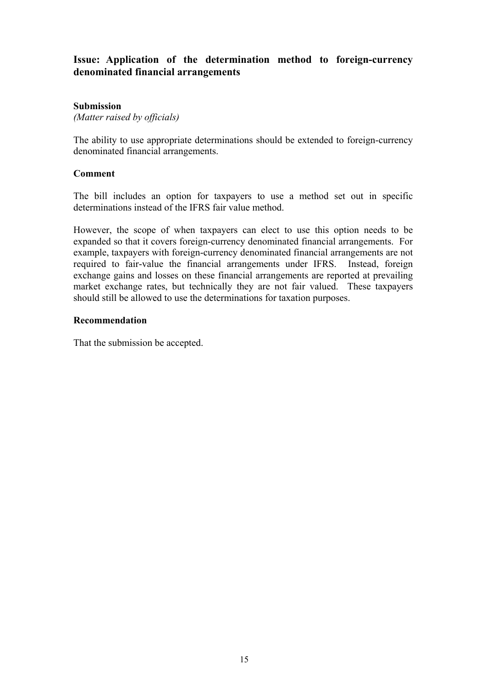## **Issue: Application of the determination method to foreign-currency denominated financial arrangements**

## **Submission**

*(Matter raised by officials)* 

The ability to use appropriate determinations should be extended to foreign-currency denominated financial arrangements.

## **Comment**

The bill includes an option for taxpayers to use a method set out in specific determinations instead of the IFRS fair value method.

However, the scope of when taxpayers can elect to use this option needs to be expanded so that it covers foreign-currency denominated financial arrangements. For example, taxpayers with foreign-currency denominated financial arrangements are not required to fair-value the financial arrangements under IFRS. Instead, foreign exchange gains and losses on these financial arrangements are reported at prevailing market exchange rates, but technically they are not fair valued. These taxpayers should still be allowed to use the determinations for taxation purposes.

## **Recommendation**

That the submission be accepted.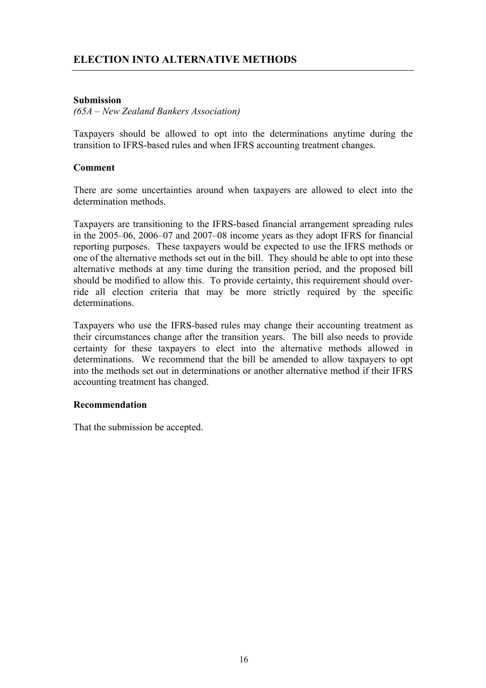## **ELECTION INTO ALTERNATIVE METHODS**

## **Submission**

*(65A – New Zealand Bankers Association)* 

Taxpayers should be allowed to opt into the determinations anytime during the transition to IFRS-based rules and when IFRS accounting treatment changes.

#### **Comment**

There are some uncertainties around when taxpayers are allowed to elect into the determination methods.

Taxpayers are transitioning to the IFRS-based financial arrangement spreading rules in the 2005–06, 2006–07 and 2007–08 income years as they adopt IFRS for financial reporting purposes. These taxpayers would be expected to use the IFRS methods or one of the alternative methods set out in the bill. They should be able to opt into these alternative methods at any time during the transition period, and the proposed bill should be modified to allow this. To provide certainty, this requirement should override all election criteria that may be more strictly required by the specific determinations.

Taxpayers who use the IFRS-based rules may change their accounting treatment as their circumstances change after the transition years. The bill also needs to provide certainty for these taxpayers to elect into the alternative methods allowed in determinations. We recommend that the bill be amended to allow taxpayers to opt into the methods set out in determinations or another alternative method if their IFRS accounting treatment has changed.

#### **Recommendation**

That the submission be accepted.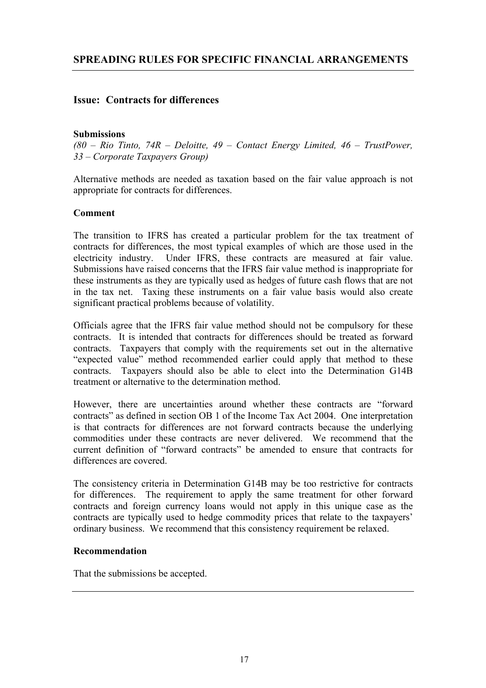## **Issue: Contracts for differences**

## **Submissions**

*(80 – Rio Tinto, 74R – Deloitte, 49 – Contact Energy Limited, 46 – TrustPower, 33 – Corporate Taxpayers Group)* 

Alternative methods are needed as taxation based on the fair value approach is not appropriate for contracts for differences.

## **Comment**

The transition to IFRS has created a particular problem for the tax treatment of contracts for differences, the most typical examples of which are those used in the electricity industry. Under IFRS, these contracts are measured at fair value. Submissions have raised concerns that the IFRS fair value method is inappropriate for these instruments as they are typically used as hedges of future cash flows that are not in the tax net. Taxing these instruments on a fair value basis would also create significant practical problems because of volatility.

Officials agree that the IFRS fair value method should not be compulsory for these contracts. It is intended that contracts for differences should be treated as forward contracts. Taxpayers that comply with the requirements set out in the alternative "expected value" method recommended earlier could apply that method to these contracts. Taxpayers should also be able to elect into the Determination G14B treatment or alternative to the determination method.

However, there are uncertainties around whether these contracts are "forward contracts" as defined in section OB 1 of the Income Tax Act 2004. One interpretation is that contracts for differences are not forward contracts because the underlying commodities under these contracts are never delivered. We recommend that the current definition of "forward contracts" be amended to ensure that contracts for differences are covered.

The consistency criteria in Determination G14B may be too restrictive for contracts for differences. The requirement to apply the same treatment for other forward contracts and foreign currency loans would not apply in this unique case as the contracts are typically used to hedge commodity prices that relate to the taxpayers' ordinary business. We recommend that this consistency requirement be relaxed.

## **Recommendation**

That the submissions be accepted.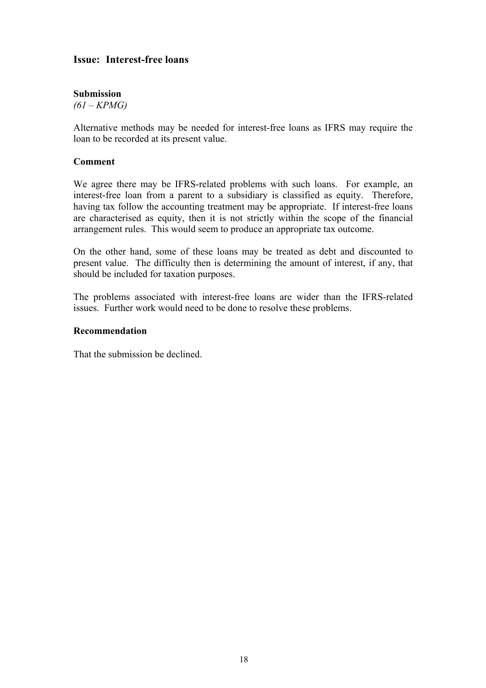## **Issue: Interest-free loans**

## **Submission**

*(61 – KPMG)* 

Alternative methods may be needed for interest-free loans as IFRS may require the loan to be recorded at its present value.

## **Comment**

We agree there may be IFRS-related problems with such loans. For example, an interest-free loan from a parent to a subsidiary is classified as equity. Therefore, having tax follow the accounting treatment may be appropriate. If interest-free loans are characterised as equity, then it is not strictly within the scope of the financial arrangement rules. This would seem to produce an appropriate tax outcome.

On the other hand, some of these loans may be treated as debt and discounted to present value. The difficulty then is determining the amount of interest, if any, that should be included for taxation purposes.

The problems associated with interest-free loans are wider than the IFRS-related issues. Further work would need to be done to resolve these problems.

## **Recommendation**

That the submission be declined.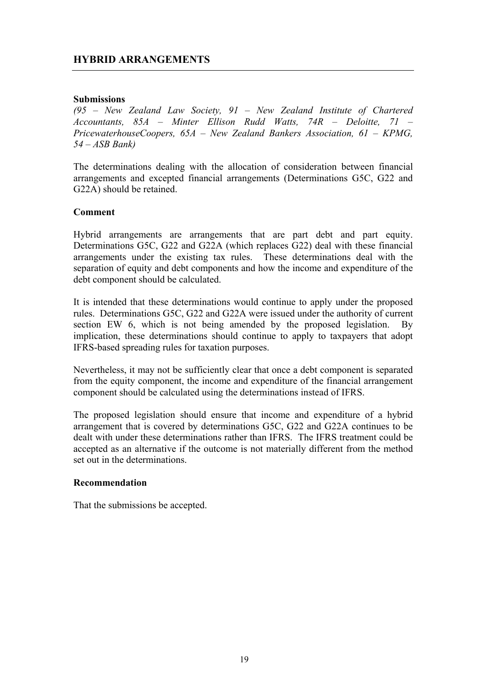## **HYBRID ARRANGEMENTS**

#### **Submissions**

*(95 – New Zealand Law Society, 91 – New Zealand Institute of Chartered Accountants, 85A – Minter Ellison Rudd Watts, 74R – Deloitte, 71 – PricewaterhouseCoopers, 65A – New Zealand Bankers Association, 61 – KPMG, 54 – ASB Bank)* 

The determinations dealing with the allocation of consideration between financial arrangements and excepted financial arrangements (Determinations G5C, G22 and G22A) should be retained.

#### **Comment**

Hybrid arrangements are arrangements that are part debt and part equity. Determinations G5C, G22 and G22A (which replaces G22) deal with these financial arrangements under the existing tax rules. These determinations deal with the separation of equity and debt components and how the income and expenditure of the debt component should be calculated.

It is intended that these determinations would continue to apply under the proposed rules. Determinations G5C, G22 and G22A were issued under the authority of current section EW 6, which is not being amended by the proposed legislation. By implication, these determinations should continue to apply to taxpayers that adopt IFRS-based spreading rules for taxation purposes.

Nevertheless, it may not be sufficiently clear that once a debt component is separated from the equity component, the income and expenditure of the financial arrangement component should be calculated using the determinations instead of IFRS.

The proposed legislation should ensure that income and expenditure of a hybrid arrangement that is covered by determinations G5C, G22 and G22A continues to be dealt with under these determinations rather than IFRS. The IFRS treatment could be accepted as an alternative if the outcome is not materially different from the method set out in the determinations.

#### **Recommendation**

That the submissions be accepted.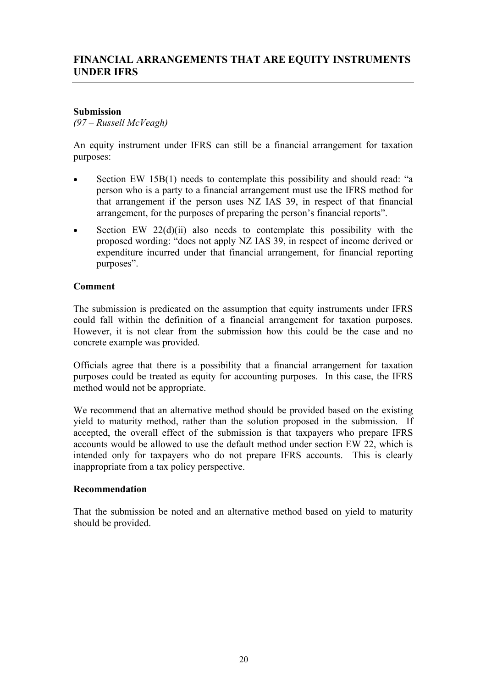## **FINANCIAL ARRANGEMENTS THAT ARE EQUITY INSTRUMENTS UNDER IFRS**

## **Submission**

*(97 – Russell McVeagh)* 

An equity instrument under IFRS can still be a financial arrangement for taxation purposes:

- Section EW 15B(1) needs to contemplate this possibility and should read: "a person who is a party to a financial arrangement must use the IFRS method for that arrangement if the person uses NZ IAS 39, in respect of that financial arrangement, for the purposes of preparing the person's financial reports".
- Section EW  $22(d)(ii)$  also needs to contemplate this possibility with the proposed wording: "does not apply NZ IAS 39, in respect of income derived or expenditure incurred under that financial arrangement, for financial reporting purposes".

## **Comment**

The submission is predicated on the assumption that equity instruments under IFRS could fall within the definition of a financial arrangement for taxation purposes. However, it is not clear from the submission how this could be the case and no concrete example was provided.

Officials agree that there is a possibility that a financial arrangement for taxation purposes could be treated as equity for accounting purposes. In this case, the IFRS method would not be appropriate.

We recommend that an alternative method should be provided based on the existing yield to maturity method, rather than the solution proposed in the submission. If accepted, the overall effect of the submission is that taxpayers who prepare IFRS accounts would be allowed to use the default method under section EW 22, which is intended only for taxpayers who do not prepare IFRS accounts. This is clearly inappropriate from a tax policy perspective.

## **Recommendation**

That the submission be noted and an alternative method based on yield to maturity should be provided.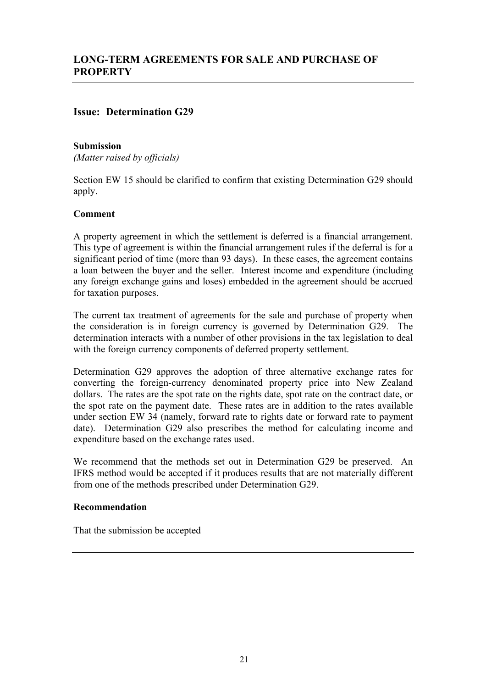## **Issue: Determination G29**

## **Submission**

*(Matter raised by officials)* 

Section EW 15 should be clarified to confirm that existing Determination G29 should apply.

## **Comment**

A property agreement in which the settlement is deferred is a financial arrangement. This type of agreement is within the financial arrangement rules if the deferral is for a significant period of time (more than 93 days). In these cases, the agreement contains a loan between the buyer and the seller. Interest income and expenditure (including any foreign exchange gains and loses) embedded in the agreement should be accrued for taxation purposes.

The current tax treatment of agreements for the sale and purchase of property when the consideration is in foreign currency is governed by Determination G29. The determination interacts with a number of other provisions in the tax legislation to deal with the foreign currency components of deferred property settlement.

Determination G29 approves the adoption of three alternative exchange rates for converting the foreign-currency denominated property price into New Zealand dollars. The rates are the spot rate on the rights date, spot rate on the contract date, or the spot rate on the payment date. These rates are in addition to the rates available under section EW 34 (namely, forward rate to rights date or forward rate to payment date). Determination G29 also prescribes the method for calculating income and expenditure based on the exchange rates used.

We recommend that the methods set out in Determination G29 be preserved. An IFRS method would be accepted if it produces results that are not materially different from one of the methods prescribed under Determination G29.

## **Recommendation**

That the submission be accepted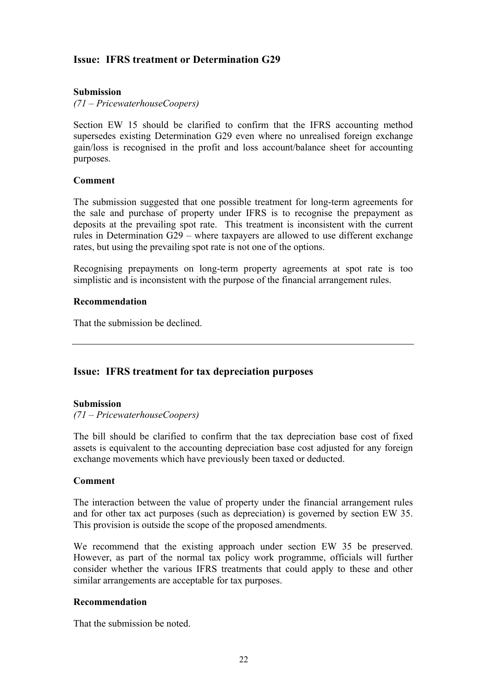## **Issue: IFRS treatment or Determination G29**

## **Submission**

*(71 – PricewaterhouseCoopers)* 

Section EW 15 should be clarified to confirm that the IFRS accounting method supersedes existing Determination G29 even where no unrealised foreign exchange gain/loss is recognised in the profit and loss account/balance sheet for accounting purposes.

## **Comment**

The submission suggested that one possible treatment for long-term agreements for the sale and purchase of property under IFRS is to recognise the prepayment as deposits at the prevailing spot rate. This treatment is inconsistent with the current rules in Determination G29 – where taxpayers are allowed to use different exchange rates, but using the prevailing spot rate is not one of the options.

Recognising prepayments on long-term property agreements at spot rate is too simplistic and is inconsistent with the purpose of the financial arrangement rules.

## **Recommendation**

That the submission be declined.

## **Issue: IFRS treatment for tax depreciation purposes**

## **Submission**

*(71 – PricewaterhouseCoopers)* 

The bill should be clarified to confirm that the tax depreciation base cost of fixed assets is equivalent to the accounting depreciation base cost adjusted for any foreign exchange movements which have previously been taxed or deducted.

## **Comment**

The interaction between the value of property under the financial arrangement rules and for other tax act purposes (such as depreciation) is governed by section EW 35. This provision is outside the scope of the proposed amendments.

We recommend that the existing approach under section EW 35 be preserved. However, as part of the normal tax policy work programme, officials will further consider whether the various IFRS treatments that could apply to these and other similar arrangements are acceptable for tax purposes.

## **Recommendation**

That the submission be noted.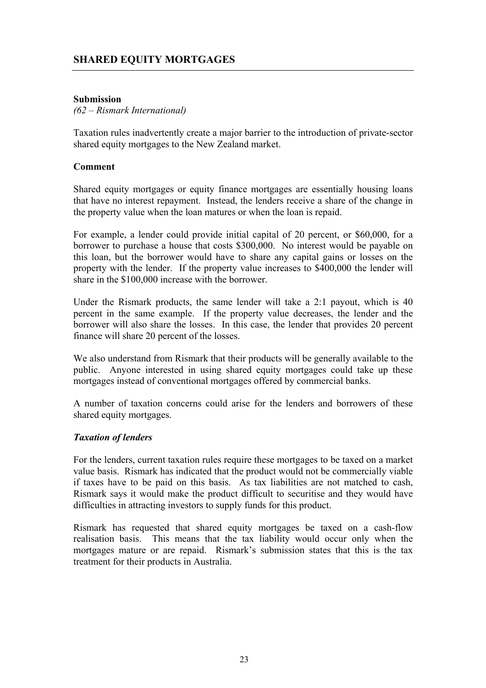## **SHARED EQUITY MORTGAGES**

## **Submission**

## *(62 – Rismark International)*

Taxation rules inadvertently create a major barrier to the introduction of private-sector shared equity mortgages to the New Zealand market.

#### **Comment**

Shared equity mortgages or equity finance mortgages are essentially housing loans that have no interest repayment. Instead, the lenders receive a share of the change in the property value when the loan matures or when the loan is repaid.

For example, a lender could provide initial capital of 20 percent, or \$60,000, for a borrower to purchase a house that costs \$300,000. No interest would be payable on this loan, but the borrower would have to share any capital gains or losses on the property with the lender. If the property value increases to \$400,000 the lender will share in the \$100,000 increase with the borrower.

Under the Rismark products, the same lender will take a 2:1 payout, which is 40 percent in the same example. If the property value decreases, the lender and the borrower will also share the losses. In this case, the lender that provides 20 percent finance will share 20 percent of the losses.

We also understand from Rismark that their products will be generally available to the public. Anyone interested in using shared equity mortgages could take up these mortgages instead of conventional mortgages offered by commercial banks.

A number of taxation concerns could arise for the lenders and borrowers of these shared equity mortgages.

## *Taxation of lenders*

For the lenders, current taxation rules require these mortgages to be taxed on a market value basis. Rismark has indicated that the product would not be commercially viable if taxes have to be paid on this basis. As tax liabilities are not matched to cash, Rismark says it would make the product difficult to securitise and they would have difficulties in attracting investors to supply funds for this product.

Rismark has requested that shared equity mortgages be taxed on a cash-flow realisation basis. This means that the tax liability would occur only when the mortgages mature or are repaid. Rismark's submission states that this is the tax treatment for their products in Australia.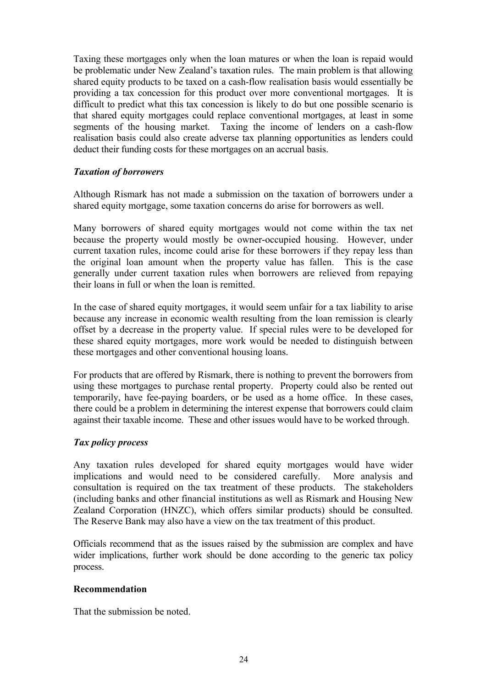Taxing these mortgages only when the loan matures or when the loan is repaid would be problematic under New Zealand's taxation rules. The main problem is that allowing shared equity products to be taxed on a cash-flow realisation basis would essentially be providing a tax concession for this product over more conventional mortgages. It is difficult to predict what this tax concession is likely to do but one possible scenario is that shared equity mortgages could replace conventional mortgages, at least in some segments of the housing market. Taxing the income of lenders on a cash-flow realisation basis could also create adverse tax planning opportunities as lenders could deduct their funding costs for these mortgages on an accrual basis.

## *Taxation of borrowers*

Although Rismark has not made a submission on the taxation of borrowers under a shared equity mortgage, some taxation concerns do arise for borrowers as well.

Many borrowers of shared equity mortgages would not come within the tax net because the property would mostly be owner-occupied housing. However, under current taxation rules, income could arise for these borrowers if they repay less than the original loan amount when the property value has fallen. This is the case generally under current taxation rules when borrowers are relieved from repaying their loans in full or when the loan is remitted.

In the case of shared equity mortgages, it would seem unfair for a tax liability to arise because any increase in economic wealth resulting from the loan remission is clearly offset by a decrease in the property value. If special rules were to be developed for these shared equity mortgages, more work would be needed to distinguish between these mortgages and other conventional housing loans.

For products that are offered by Rismark, there is nothing to prevent the borrowers from using these mortgages to purchase rental property. Property could also be rented out temporarily, have fee-paying boarders, or be used as a home office. In these cases, there could be a problem in determining the interest expense that borrowers could claim against their taxable income. These and other issues would have to be worked through.

## *Tax policy process*

Any taxation rules developed for shared equity mortgages would have wider implications and would need to be considered carefully. More analysis and consultation is required on the tax treatment of these products. The stakeholders (including banks and other financial institutions as well as Rismark and Housing New Zealand Corporation (HNZC), which offers similar products) should be consulted. The Reserve Bank may also have a view on the tax treatment of this product.

Officials recommend that as the issues raised by the submission are complex and have wider implications, further work should be done according to the generic tax policy process.

## **Recommendation**

That the submission be noted.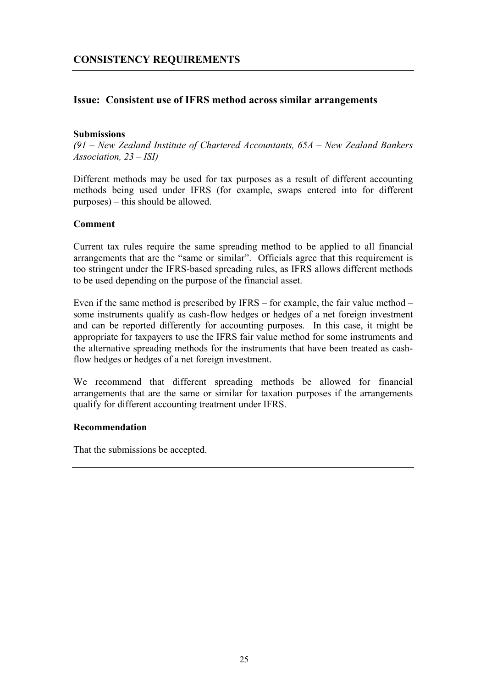## **Issue: Consistent use of IFRS method across similar arrangements**

## **Submissions**

*(91 – New Zealand Institute of Chartered Accountants, 65A – New Zealand Bankers Association, 23 – ISI)* 

Different methods may be used for tax purposes as a result of different accounting methods being used under IFRS (for example, swaps entered into for different purposes) – this should be allowed.

#### **Comment**

Current tax rules require the same spreading method to be applied to all financial arrangements that are the "same or similar". Officials agree that this requirement is too stringent under the IFRS-based spreading rules, as IFRS allows different methods to be used depending on the purpose of the financial asset.

Even if the same method is prescribed by IFRS – for example, the fair value method – some instruments qualify as cash-flow hedges or hedges of a net foreign investment and can be reported differently for accounting purposes. In this case, it might be appropriate for taxpayers to use the IFRS fair value method for some instruments and the alternative spreading methods for the instruments that have been treated as cashflow hedges or hedges of a net foreign investment.

We recommend that different spreading methods be allowed for financial arrangements that are the same or similar for taxation purposes if the arrangements qualify for different accounting treatment under IFRS.

## **Recommendation**

That the submissions be accepted.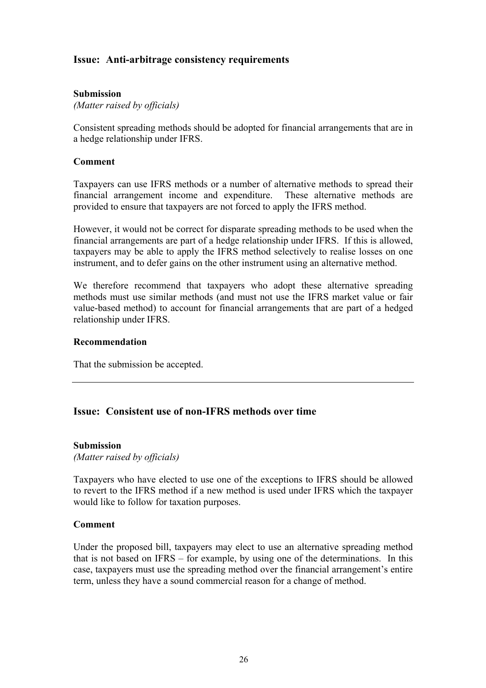## **Issue: Anti-arbitrage consistency requirements**

## **Submission**

*(Matter raised by officials)* 

Consistent spreading methods should be adopted for financial arrangements that are in a hedge relationship under IFRS.

#### **Comment**

Taxpayers can use IFRS methods or a number of alternative methods to spread their financial arrangement income and expenditure. These alternative methods are provided to ensure that taxpayers are not forced to apply the IFRS method.

However, it would not be correct for disparate spreading methods to be used when the financial arrangements are part of a hedge relationship under IFRS. If this is allowed, taxpayers may be able to apply the IFRS method selectively to realise losses on one instrument, and to defer gains on the other instrument using an alternative method.

We therefore recommend that taxpayers who adopt these alternative spreading methods must use similar methods (and must not use the IFRS market value or fair value-based method) to account for financial arrangements that are part of a hedged relationship under IFRS.

#### **Recommendation**

That the submission be accepted.

## **Issue: Consistent use of non-IFRS methods over time**

#### **Submission**

*(Matter raised by officials)* 

Taxpayers who have elected to use one of the exceptions to IFRS should be allowed to revert to the IFRS method if a new method is used under IFRS which the taxpayer would like to follow for taxation purposes.

#### **Comment**

Under the proposed bill, taxpayers may elect to use an alternative spreading method that is not based on IFRS – for example, by using one of the determinations. In this case, taxpayers must use the spreading method over the financial arrangement's entire term, unless they have a sound commercial reason for a change of method.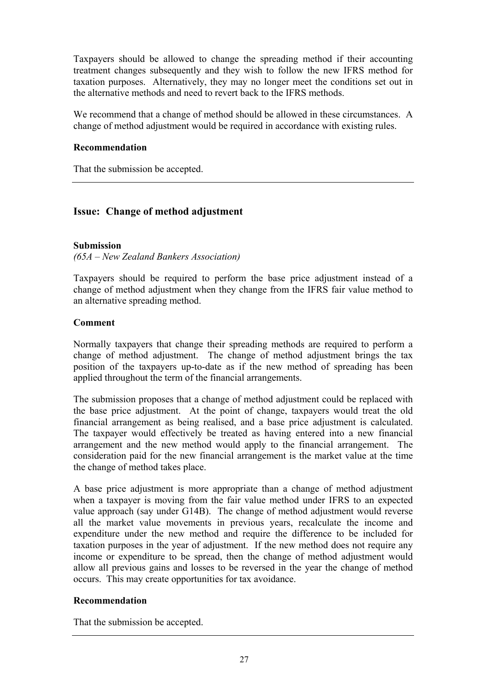Taxpayers should be allowed to change the spreading method if their accounting treatment changes subsequently and they wish to follow the new IFRS method for taxation purposes. Alternatively, they may no longer meet the conditions set out in the alternative methods and need to revert back to the IFRS methods.

We recommend that a change of method should be allowed in these circumstances. A change of method adjustment would be required in accordance with existing rules.

#### **Recommendation**

That the submission be accepted.

## **Issue: Change of method adjustment**

#### **Submission**

*(65A – New Zealand Bankers Association)* 

Taxpayers should be required to perform the base price adjustment instead of a change of method adjustment when they change from the IFRS fair value method to an alternative spreading method.

## **Comment**

Normally taxpayers that change their spreading methods are required to perform a change of method adjustment. The change of method adjustment brings the tax position of the taxpayers up-to-date as if the new method of spreading has been applied throughout the term of the financial arrangements.

The submission proposes that a change of method adjustment could be replaced with the base price adjustment. At the point of change, taxpayers would treat the old financial arrangement as being realised, and a base price adjustment is calculated. The taxpayer would effectively be treated as having entered into a new financial arrangement and the new method would apply to the financial arrangement. The consideration paid for the new financial arrangement is the market value at the time the change of method takes place.

A base price adjustment is more appropriate than a change of method adjustment when a taxpayer is moving from the fair value method under IFRS to an expected value approach (say under G14B). The change of method adjustment would reverse all the market value movements in previous years, recalculate the income and expenditure under the new method and require the difference to be included for taxation purposes in the year of adjustment. If the new method does not require any income or expenditure to be spread, then the change of method adjustment would allow all previous gains and losses to be reversed in the year the change of method occurs. This may create opportunities for tax avoidance.

## **Recommendation**

That the submission be accepted.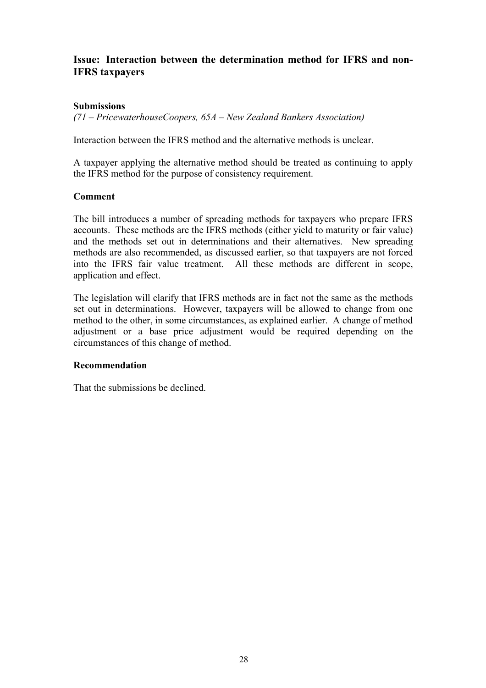## **Issue: Interaction between the determination method for IFRS and non-IFRS taxpayers**

## **Submissions**

*(71 – PricewaterhouseCoopers, 65A – New Zealand Bankers Association)* 

Interaction between the IFRS method and the alternative methods is unclear.

A taxpayer applying the alternative method should be treated as continuing to apply the IFRS method for the purpose of consistency requirement.

## **Comment**

The bill introduces a number of spreading methods for taxpayers who prepare IFRS accounts. These methods are the IFRS methods (either yield to maturity or fair value) and the methods set out in determinations and their alternatives. New spreading methods are also recommended, as discussed earlier, so that taxpayers are not forced into the IFRS fair value treatment. All these methods are different in scope, application and effect.

The legislation will clarify that IFRS methods are in fact not the same as the methods set out in determinations. However, taxpayers will be allowed to change from one method to the other, in some circumstances, as explained earlier. A change of method adjustment or a base price adjustment would be required depending on the circumstances of this change of method.

## **Recommendation**

That the submissions be declined.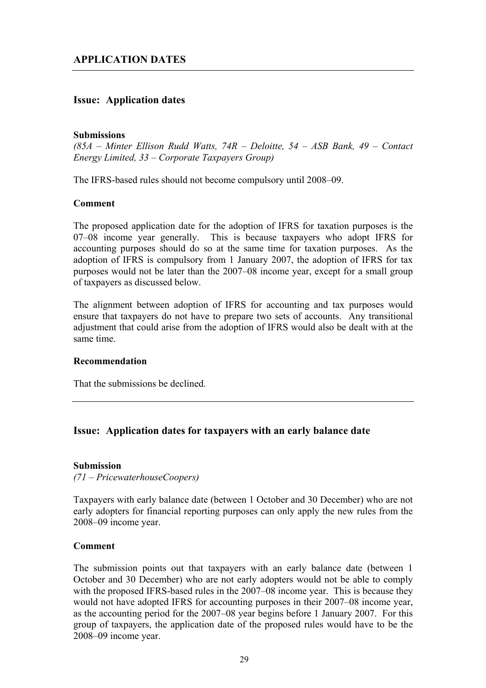## **Issue: Application dates**

#### **Submissions**

*(85A – Minter Ellison Rudd Watts, 74R – Deloitte, 54 – ASB Bank, 49 – Contact Energy Limited, 33 – Corporate Taxpayers Group)* 

The IFRS-based rules should not become compulsory until 2008–09.

#### **Comment**

The proposed application date for the adoption of IFRS for taxation purposes is the 07–08 income year generally. This is because taxpayers who adopt IFRS for accounting purposes should do so at the same time for taxation purposes. As the adoption of IFRS is compulsory from 1 January 2007, the adoption of IFRS for tax purposes would not be later than the 2007–08 income year, except for a small group of taxpayers as discussed below.

The alignment between adoption of IFRS for accounting and tax purposes would ensure that taxpayers do not have to prepare two sets of accounts. Any transitional adjustment that could arise from the adoption of IFRS would also be dealt with at the same time.

## **Recommendation**

That the submissions be declined.

## **Issue: Application dates for taxpayers with an early balance date**

#### **Submission**

*(71 – PricewaterhouseCoopers)* 

Taxpayers with early balance date (between 1 October and 30 December) who are not early adopters for financial reporting purposes can only apply the new rules from the 2008–09 income year.

## **Comment**

The submission points out that taxpayers with an early balance date (between 1 October and 30 December) who are not early adopters would not be able to comply with the proposed IFRS-based rules in the 2007–08 income year. This is because they would not have adopted IFRS for accounting purposes in their 2007–08 income year, as the accounting period for the 2007–08 year begins before 1 January 2007. For this group of taxpayers, the application date of the proposed rules would have to be the 2008–09 income year.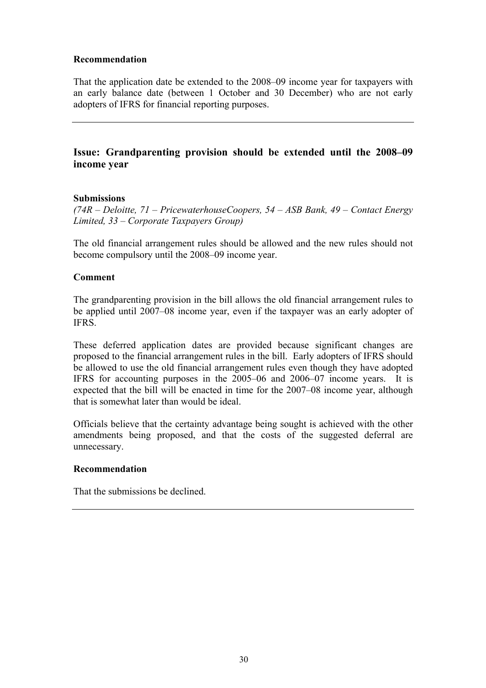## **Recommendation**

That the application date be extended to the 2008–09 income year for taxpayers with an early balance date (between 1 October and 30 December) who are not early adopters of IFRS for financial reporting purposes.

## **Issue: Grandparenting provision should be extended until the 2008–09 income year**

## **Submissions**

*(74R – Deloitte, 71 – PricewaterhouseCoopers, 54 – ASB Bank, 49 – Contact Energy Limited, 33 – Corporate Taxpayers Group)* 

The old financial arrangement rules should be allowed and the new rules should not become compulsory until the 2008–09 income year.

## **Comment**

The grandparenting provision in the bill allows the old financial arrangement rules to be applied until 2007–08 income year, even if the taxpayer was an early adopter of IFRS.

These deferred application dates are provided because significant changes are proposed to the financial arrangement rules in the bill. Early adopters of IFRS should be allowed to use the old financial arrangement rules even though they have adopted IFRS for accounting purposes in the 2005–06 and 2006–07 income years. It is expected that the bill will be enacted in time for the 2007–08 income year, although that is somewhat later than would be ideal.

Officials believe that the certainty advantage being sought is achieved with the other amendments being proposed, and that the costs of the suggested deferral are unnecessary.

## **Recommendation**

That the submissions be declined.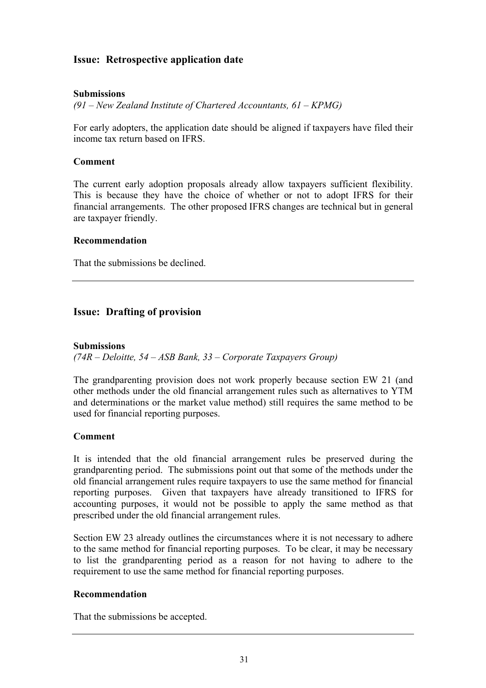## **Issue: Retrospective application date**

## **Submissions**

*(91 – New Zealand Institute of Chartered Accountants, 61 – KPMG)* 

For early adopters, the application date should be aligned if taxpayers have filed their income tax return based on IFRS.

## **Comment**

The current early adoption proposals already allow taxpayers sufficient flexibility. This is because they have the choice of whether or not to adopt IFRS for their financial arrangements. The other proposed IFRS changes are technical but in general are taxpayer friendly.

## **Recommendation**

That the submissions be declined.

## **Issue: Drafting of provision**

#### **Submissions**

*(74R – Deloitte, 54 – ASB Bank, 33 – Corporate Taxpayers Group)* 

The grandparenting provision does not work properly because section EW 21 (and other methods under the old financial arrangement rules such as alternatives to YTM and determinations or the market value method) still requires the same method to be used for financial reporting purposes.

#### **Comment**

It is intended that the old financial arrangement rules be preserved during the grandparenting period. The submissions point out that some of the methods under the old financial arrangement rules require taxpayers to use the same method for financial reporting purposes. Given that taxpayers have already transitioned to IFRS for accounting purposes, it would not be possible to apply the same method as that prescribed under the old financial arrangement rules.

Section EW 23 already outlines the circumstances where it is not necessary to adhere to the same method for financial reporting purposes. To be clear, it may be necessary to list the grandparenting period as a reason for not having to adhere to the requirement to use the same method for financial reporting purposes.

## **Recommendation**

That the submissions be accepted.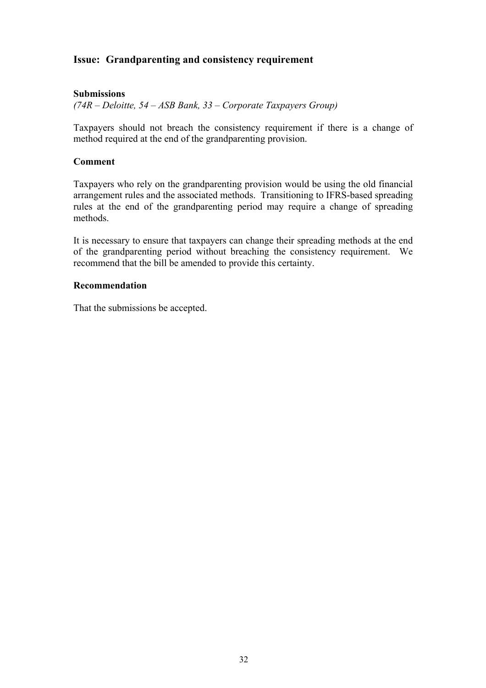## **Issue: Grandparenting and consistency requirement**

## **Submissions**

*(74R – Deloitte, 54 – ASB Bank, 33 – Corporate Taxpayers Group)* 

Taxpayers should not breach the consistency requirement if there is a change of method required at the end of the grandparenting provision.

#### **Comment**

Taxpayers who rely on the grandparenting provision would be using the old financial arrangement rules and the associated methods. Transitioning to IFRS-based spreading rules at the end of the grandparenting period may require a change of spreading methods.

It is necessary to ensure that taxpayers can change their spreading methods at the end of the grandparenting period without breaching the consistency requirement. We recommend that the bill be amended to provide this certainty.

#### **Recommendation**

That the submissions be accepted.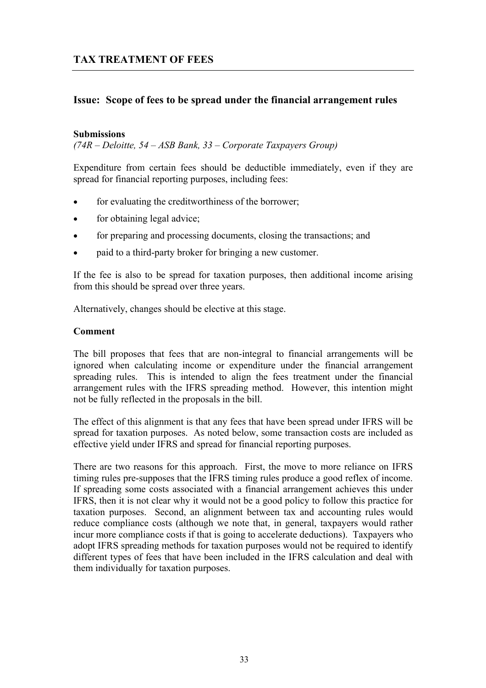## **Issue: Scope of fees to be spread under the financial arrangement rules**

#### **Submissions**

*(74R – Deloitte, 54 – ASB Bank, 33 – Corporate Taxpayers Group)* 

Expenditure from certain fees should be deductible immediately, even if they are spread for financial reporting purposes, including fees:

- for evaluating the creditworthiness of the borrower;
- for obtaining legal advice;
- for preparing and processing documents, closing the transactions; and
- paid to a third-party broker for bringing a new customer.

If the fee is also to be spread for taxation purposes, then additional income arising from this should be spread over three years.

Alternatively, changes should be elective at this stage.

#### **Comment**

The bill proposes that fees that are non-integral to financial arrangements will be ignored when calculating income or expenditure under the financial arrangement spreading rules. This is intended to align the fees treatment under the financial arrangement rules with the IFRS spreading method. However, this intention might not be fully reflected in the proposals in the bill.

The effect of this alignment is that any fees that have been spread under IFRS will be spread for taxation purposes. As noted below, some transaction costs are included as effective yield under IFRS and spread for financial reporting purposes.

There are two reasons for this approach. First, the move to more reliance on IFRS timing rules pre-supposes that the IFRS timing rules produce a good reflex of income. If spreading some costs associated with a financial arrangement achieves this under IFRS, then it is not clear why it would not be a good policy to follow this practice for taxation purposes. Second, an alignment between tax and accounting rules would reduce compliance costs (although we note that, in general, taxpayers would rather incur more compliance costs if that is going to accelerate deductions). Taxpayers who adopt IFRS spreading methods for taxation purposes would not be required to identify different types of fees that have been included in the IFRS calculation and deal with them individually for taxation purposes.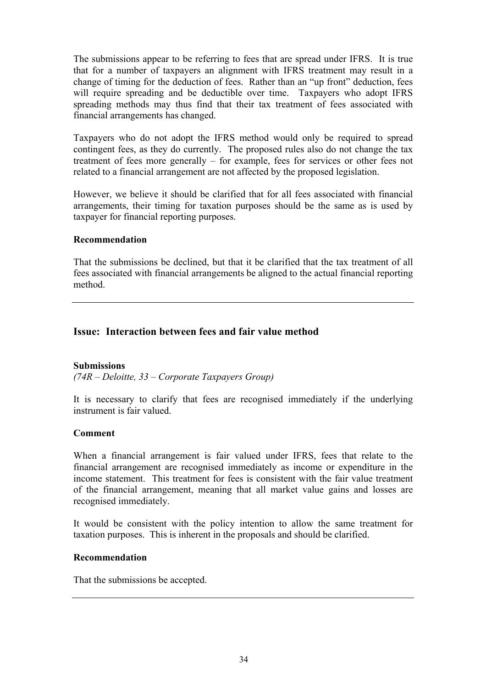The submissions appear to be referring to fees that are spread under IFRS. It is true that for a number of taxpayers an alignment with IFRS treatment may result in a change of timing for the deduction of fees. Rather than an "up front" deduction, fees will require spreading and be deductible over time. Taxpayers who adopt IFRS spreading methods may thus find that their tax treatment of fees associated with financial arrangements has changed.

Taxpayers who do not adopt the IFRS method would only be required to spread contingent fees, as they do currently. The proposed rules also do not change the tax treatment of fees more generally – for example, fees for services or other fees not related to a financial arrangement are not affected by the proposed legislation.

However, we believe it should be clarified that for all fees associated with financial arrangements, their timing for taxation purposes should be the same as is used by taxpayer for financial reporting purposes.

## **Recommendation**

That the submissions be declined, but that it be clarified that the tax treatment of all fees associated with financial arrangements be aligned to the actual financial reporting method.

## **Issue: Interaction between fees and fair value method**

## **Submissions**

*(74R – Deloitte, 33 – Corporate Taxpayers Group)* 

It is necessary to clarify that fees are recognised immediately if the underlying instrument is fair valued.

## **Comment**

When a financial arrangement is fair valued under IFRS, fees that relate to the financial arrangement are recognised immediately as income or expenditure in the income statement. This treatment for fees is consistent with the fair value treatment of the financial arrangement, meaning that all market value gains and losses are recognised immediately.

It would be consistent with the policy intention to allow the same treatment for taxation purposes. This is inherent in the proposals and should be clarified.

## **Recommendation**

That the submissions be accepted.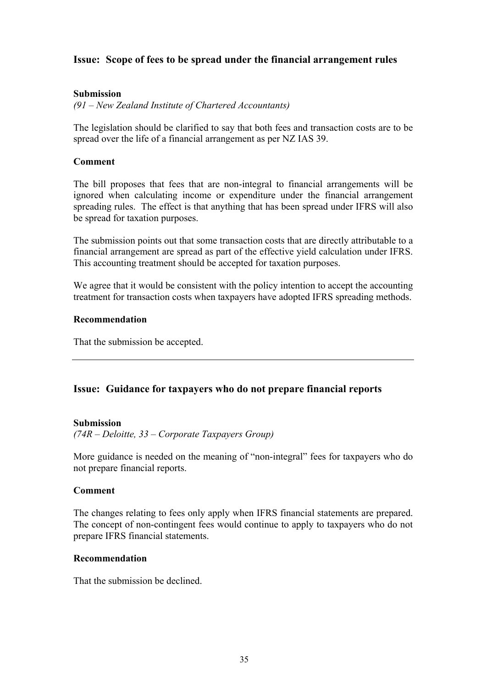## **Issue: Scope of fees to be spread under the financial arrangement rules**

## **Submission**

*(91 – New Zealand Institute of Chartered Accountants)* 

The legislation should be clarified to say that both fees and transaction costs are to be spread over the life of a financial arrangement as per NZ IAS 39.

## **Comment**

The bill proposes that fees that are non-integral to financial arrangements will be ignored when calculating income or expenditure under the financial arrangement spreading rules. The effect is that anything that has been spread under IFRS will also be spread for taxation purposes.

The submission points out that some transaction costs that are directly attributable to a financial arrangement are spread as part of the effective yield calculation under IFRS. This accounting treatment should be accepted for taxation purposes.

We agree that it would be consistent with the policy intention to accept the accounting treatment for transaction costs when taxpayers have adopted IFRS spreading methods.

#### **Recommendation**

That the submission be accepted.

## **Issue: Guidance for taxpayers who do not prepare financial reports**

## **Submission**

*(74R – Deloitte, 33 – Corporate Taxpayers Group)* 

More guidance is needed on the meaning of "non-integral" fees for taxpayers who do not prepare financial reports.

#### **Comment**

The changes relating to fees only apply when IFRS financial statements are prepared. The concept of non-contingent fees would continue to apply to taxpayers who do not prepare IFRS financial statements.

## **Recommendation**

That the submission be declined.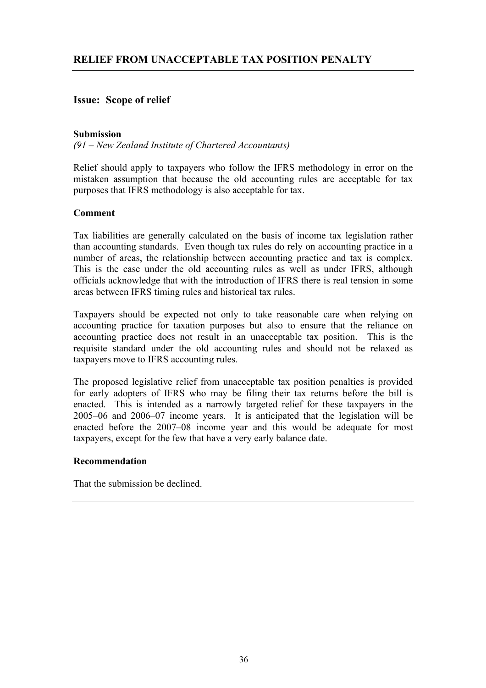## **Issue: Scope of relief**

## **Submission**

*(91 – New Zealand Institute of Chartered Accountants)* 

Relief should apply to taxpayers who follow the IFRS methodology in error on the mistaken assumption that because the old accounting rules are acceptable for tax purposes that IFRS methodology is also acceptable for tax.

## **Comment**

Tax liabilities are generally calculated on the basis of income tax legislation rather than accounting standards. Even though tax rules do rely on accounting practice in a number of areas, the relationship between accounting practice and tax is complex. This is the case under the old accounting rules as well as under IFRS, although officials acknowledge that with the introduction of IFRS there is real tension in some areas between IFRS timing rules and historical tax rules.

Taxpayers should be expected not only to take reasonable care when relying on accounting practice for taxation purposes but also to ensure that the reliance on accounting practice does not result in an unacceptable tax position. This is the requisite standard under the old accounting rules and should not be relaxed as taxpayers move to IFRS accounting rules.

The proposed legislative relief from unacceptable tax position penalties is provided for early adopters of IFRS who may be filing their tax returns before the bill is enacted. This is intended as a narrowly targeted relief for these taxpayers in the 2005–06 and 2006–07 income years. It is anticipated that the legislation will be enacted before the 2007–08 income year and this would be adequate for most taxpayers, except for the few that have a very early balance date.

#### **Recommendation**

That the submission be declined.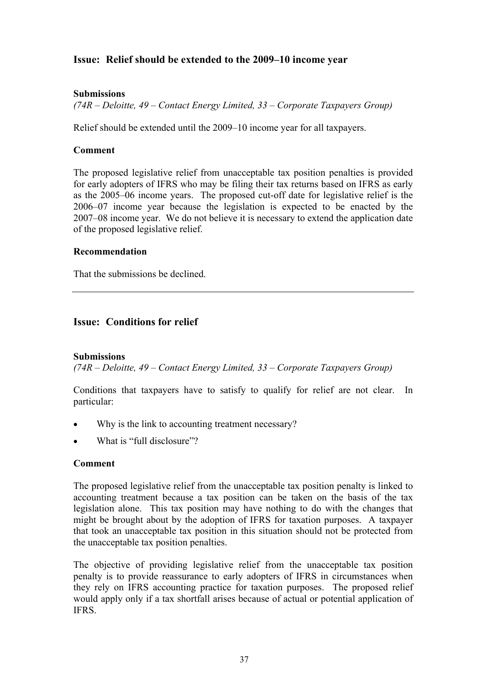## **Issue: Relief should be extended to the 2009–10 income year**

## **Submissions**

*(74R – Deloitte, 49 – Contact Energy Limited, 33 – Corporate Taxpayers Group)* 

Relief should be extended until the 2009–10 income year for all taxpayers.

## **Comment**

The proposed legislative relief from unacceptable tax position penalties is provided for early adopters of IFRS who may be filing their tax returns based on IFRS as early as the 2005–06 income years. The proposed cut-off date for legislative relief is the 2006–07 income year because the legislation is expected to be enacted by the 2007–08 income year. We do not believe it is necessary to extend the application date of the proposed legislative relief.

## **Recommendation**

That the submissions be declined.

## **Issue: Conditions for relief**

## **Submissions**

*(74R – Deloitte, 49 – Contact Energy Limited, 33 – Corporate Taxpayers Group)* 

Conditions that taxpayers have to satisfy to qualify for relief are not clear. In particular:

- Why is the link to accounting treatment necessary?
- What is "full disclosure"?

## **Comment**

The proposed legislative relief from the unacceptable tax position penalty is linked to accounting treatment because a tax position can be taken on the basis of the tax legislation alone. This tax position may have nothing to do with the changes that might be brought about by the adoption of IFRS for taxation purposes. A taxpayer that took an unacceptable tax position in this situation should not be protected from the unacceptable tax position penalties.

The objective of providing legislative relief from the unacceptable tax position penalty is to provide reassurance to early adopters of IFRS in circumstances when they rely on IFRS accounting practice for taxation purposes. The proposed relief would apply only if a tax shortfall arises because of actual or potential application of IFRS.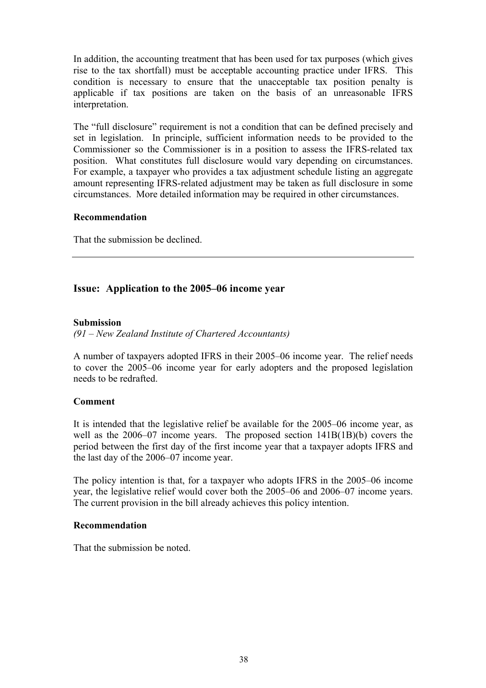In addition, the accounting treatment that has been used for tax purposes (which gives rise to the tax shortfall) must be acceptable accounting practice under IFRS. This condition is necessary to ensure that the unacceptable tax position penalty is applicable if tax positions are taken on the basis of an unreasonable IFRS interpretation.

The "full disclosure" requirement is not a condition that can be defined precisely and set in legislation. In principle, sufficient information needs to be provided to the Commissioner so the Commissioner is in a position to assess the IFRS-related tax position. What constitutes full disclosure would vary depending on circumstances. For example, a taxpayer who provides a tax adjustment schedule listing an aggregate amount representing IFRS-related adjustment may be taken as full disclosure in some circumstances. More detailed information may be required in other circumstances.

## **Recommendation**

That the submission be declined.

## **Issue: Application to the 2005–06 income year**

## **Submission**

*(91 – New Zealand Institute of Chartered Accountants)* 

A number of taxpayers adopted IFRS in their 2005–06 income year. The relief needs to cover the 2005–06 income year for early adopters and the proposed legislation needs to be redrafted.

## **Comment**

It is intended that the legislative relief be available for the 2005–06 income year, as well as the 2006–07 income years. The proposed section 141B(1B)(b) covers the period between the first day of the first income year that a taxpayer adopts IFRS and the last day of the 2006–07 income year.

The policy intention is that, for a taxpayer who adopts IFRS in the 2005–06 income year, the legislative relief would cover both the 2005–06 and 2006–07 income years. The current provision in the bill already achieves this policy intention.

## **Recommendation**

That the submission be noted.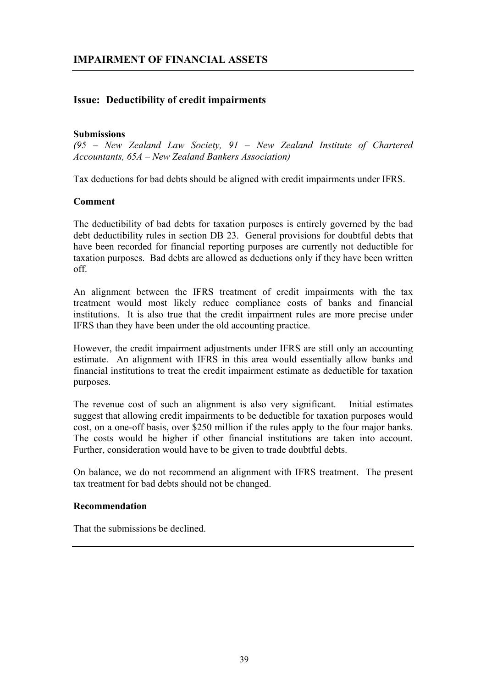## **Issue: Deductibility of credit impairments**

#### **Submissions**

*(95 – New Zealand Law Society, 91 – New Zealand Institute of Chartered Accountants, 65A – New Zealand Bankers Association)* 

Tax deductions for bad debts should be aligned with credit impairments under IFRS.

#### **Comment**

The deductibility of bad debts for taxation purposes is entirely governed by the bad debt deductibility rules in section DB 23. General provisions for doubtful debts that have been recorded for financial reporting purposes are currently not deductible for taxation purposes. Bad debts are allowed as deductions only if they have been written off.

An alignment between the IFRS treatment of credit impairments with the tax treatment would most likely reduce compliance costs of banks and financial institutions. It is also true that the credit impairment rules are more precise under IFRS than they have been under the old accounting practice.

However, the credit impairment adjustments under IFRS are still only an accounting estimate. An alignment with IFRS in this area would essentially allow banks and financial institutions to treat the credit impairment estimate as deductible for taxation purposes.

The revenue cost of such an alignment is also very significant. Initial estimates suggest that allowing credit impairments to be deductible for taxation purposes would cost, on a one-off basis, over \$250 million if the rules apply to the four major banks. The costs would be higher if other financial institutions are taken into account. Further, consideration would have to be given to trade doubtful debts.

On balance, we do not recommend an alignment with IFRS treatment. The present tax treatment for bad debts should not be changed.

## **Recommendation**

That the submissions be declined.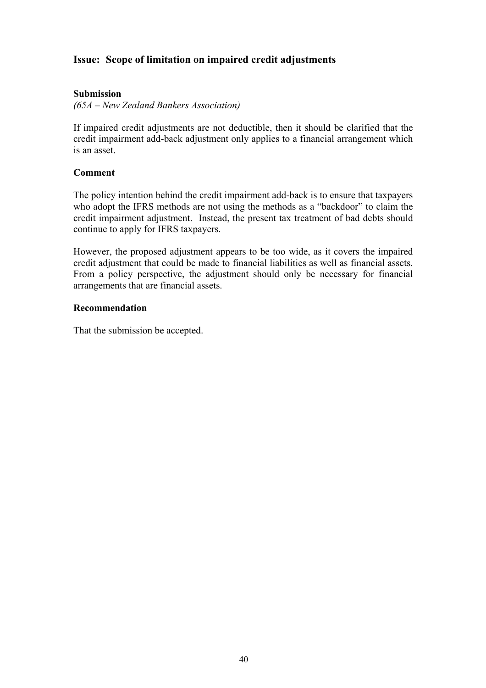## **Issue: Scope of limitation on impaired credit adjustments**

## **Submission**

*(65A – New Zealand Bankers Association)* 

If impaired credit adjustments are not deductible, then it should be clarified that the credit impairment add-back adjustment only applies to a financial arrangement which is an asset.

## **Comment**

The policy intention behind the credit impairment add-back is to ensure that taxpayers who adopt the IFRS methods are not using the methods as a "backdoor" to claim the credit impairment adjustment. Instead, the present tax treatment of bad debts should continue to apply for IFRS taxpayers.

However, the proposed adjustment appears to be too wide, as it covers the impaired credit adjustment that could be made to financial liabilities as well as financial assets. From a policy perspective, the adjustment should only be necessary for financial arrangements that are financial assets.

## **Recommendation**

That the submission be accepted.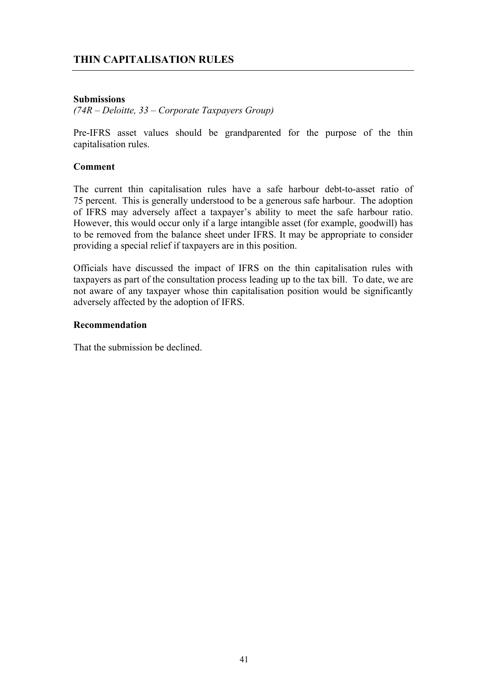## **THIN CAPITALISATION RULES**

## **Submissions**

*(74R – Deloitte, 33 – Corporate Taxpayers Group)* 

Pre-IFRS asset values should be grandparented for the purpose of the thin capitalisation rules.

#### **Comment**

The current thin capitalisation rules have a safe harbour debt-to-asset ratio of 75 percent. This is generally understood to be a generous safe harbour. The adoption of IFRS may adversely affect a taxpayer's ability to meet the safe harbour ratio. However, this would occur only if a large intangible asset (for example, goodwill) has to be removed from the balance sheet under IFRS. It may be appropriate to consider providing a special relief if taxpayers are in this position.

Officials have discussed the impact of IFRS on the thin capitalisation rules with taxpayers as part of the consultation process leading up to the tax bill. To date, we are not aware of any taxpayer whose thin capitalisation position would be significantly adversely affected by the adoption of IFRS.

#### **Recommendation**

That the submission be declined.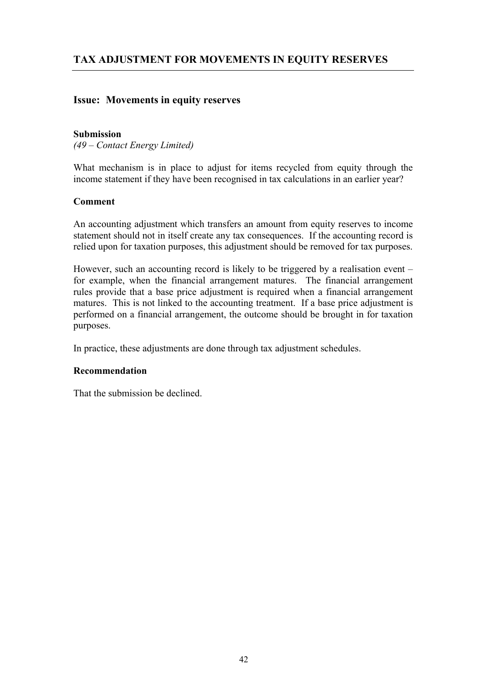## **Issue: Movements in equity reserves**

#### **Submission**

*(49 – Contact Energy Limited)* 

What mechanism is in place to adjust for items recycled from equity through the income statement if they have been recognised in tax calculations in an earlier year?

#### **Comment**

An accounting adjustment which transfers an amount from equity reserves to income statement should not in itself create any tax consequences. If the accounting record is relied upon for taxation purposes, this adjustment should be removed for tax purposes.

However, such an accounting record is likely to be triggered by a realisation event – for example, when the financial arrangement matures. The financial arrangement rules provide that a base price adjustment is required when a financial arrangement matures. This is not linked to the accounting treatment. If a base price adjustment is performed on a financial arrangement, the outcome should be brought in for taxation purposes.

In practice, these adjustments are done through tax adjustment schedules.

## **Recommendation**

That the submission be declined.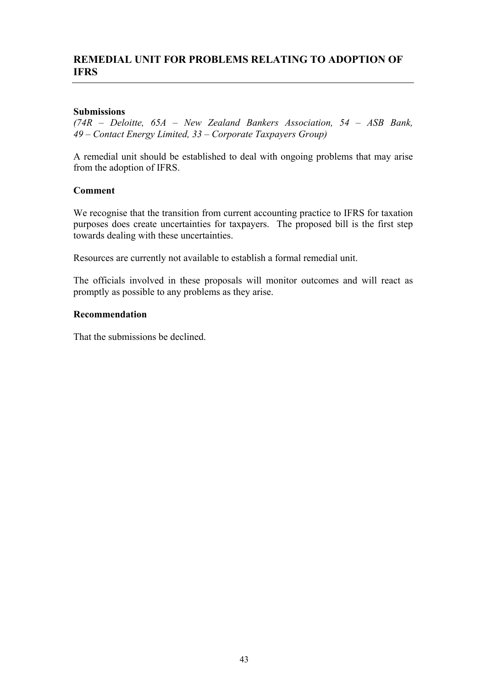## **REMEDIAL UNIT FOR PROBLEMS RELATING TO ADOPTION OF IFRS**

## **Submissions**

*(74R – Deloitte, 65A – New Zealand Bankers Association, 54 – ASB Bank, 49 – Contact Energy Limited, 33 – Corporate Taxpayers Group)* 

A remedial unit should be established to deal with ongoing problems that may arise from the adoption of IFRS.

#### **Comment**

We recognise that the transition from current accounting practice to IFRS for taxation purposes does create uncertainties for taxpayers. The proposed bill is the first step towards dealing with these uncertainties.

Resources are currently not available to establish a formal remedial unit.

The officials involved in these proposals will monitor outcomes and will react as promptly as possible to any problems as they arise.

#### **Recommendation**

That the submissions be declined.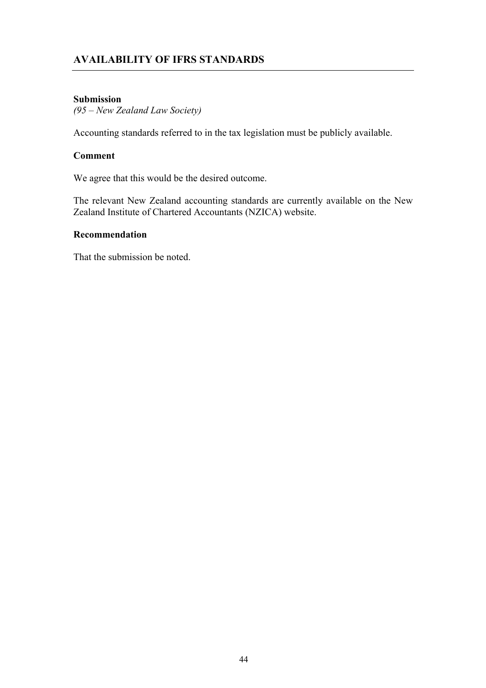## **AVAILABILITY OF IFRS STANDARDS**

## **Submission**

*(95 – New Zealand Law Society)* 

Accounting standards referred to in the tax legislation must be publicly available.

## **Comment**

We agree that this would be the desired outcome.

The relevant New Zealand accounting standards are currently available on the New Zealand Institute of Chartered Accountants (NZICA) website.

#### **Recommendation**

That the submission be noted.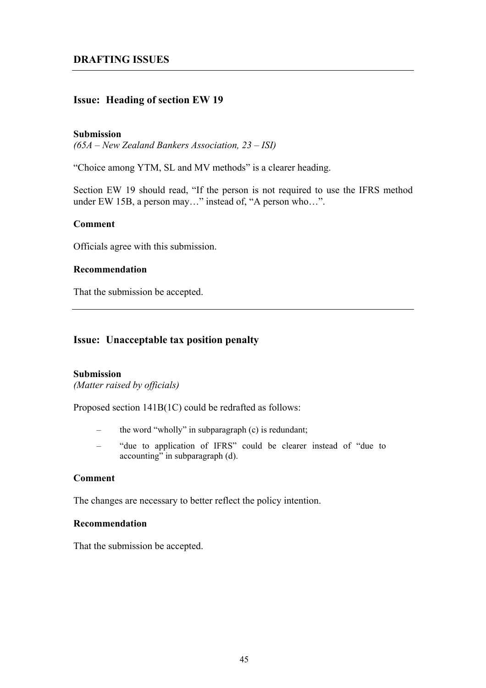## **Issue: Heading of section EW 19**

#### **Submission**

*(65A – New Zealand Bankers Association, 23 – ISI)* 

"Choice among YTM, SL and MV methods" is a clearer heading.

Section EW 19 should read, "If the person is not required to use the IFRS method under EW 15B, a person may..." instead of, "A person who...".

## **Comment**

Officials agree with this submission.

#### **Recommendation**

That the submission be accepted.

## **Issue: Unacceptable tax position penalty**

#### **Submission**

*(Matter raised by officials)* 

Proposed section 141B(1C) could be redrafted as follows:

- the word "wholly" in subparagraph (c) is redundant;
- "due to application of IFRS" could be clearer instead of "due to  $accounting"$  in subparagraph  $(d)$ .

## **Comment**

The changes are necessary to better reflect the policy intention.

#### **Recommendation**

That the submission be accepted.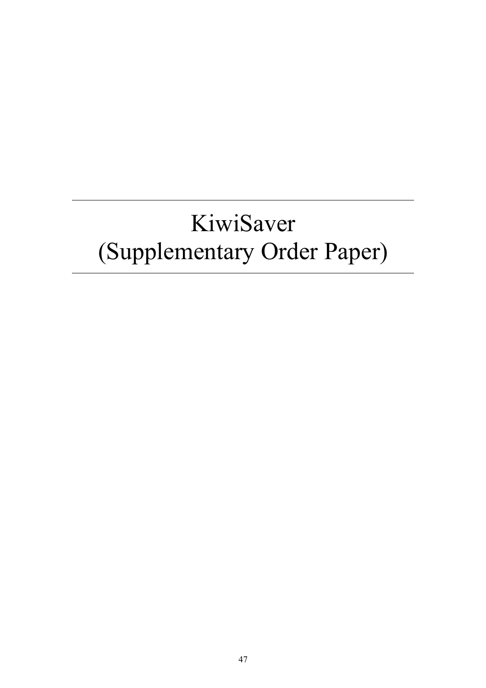# KiwiSaver (Supplementary Order Paper)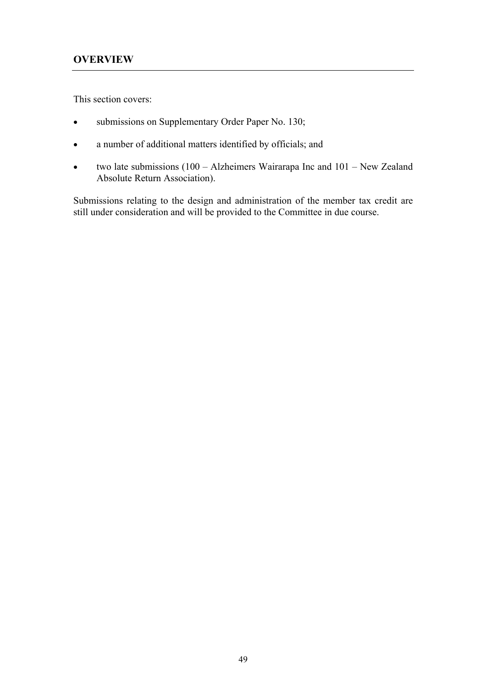This section covers:

- submissions on Supplementary Order Paper No. 130;
- a number of additional matters identified by officials; and
- two late submissions (100 Alzheimers Wairarapa Inc and 101 New Zealand Absolute Return Association).

Submissions relating to the design and administration of the member tax credit are still under consideration and will be provided to the Committee in due course.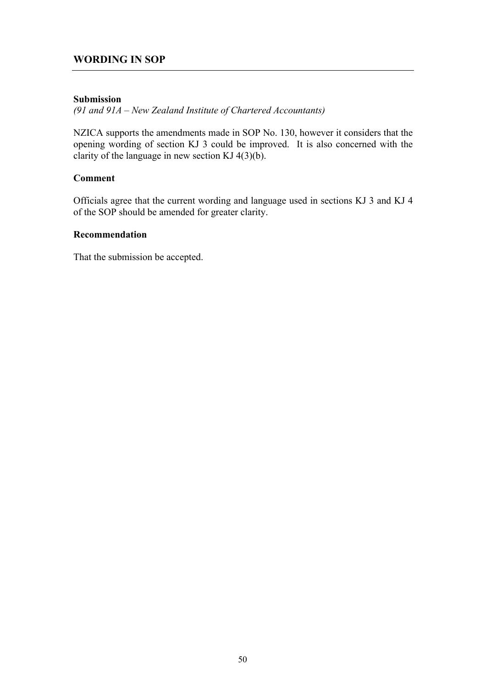## **WORDING IN SOP**

## **Submission**

*(91 and 91A – New Zealand Institute of Chartered Accountants)*

NZICA supports the amendments made in SOP No. 130, however it considers that the opening wording of section KJ 3 could be improved. It is also concerned with the clarity of the language in new section KJ  $4(3)(b)$ .

## **Comment**

Officials agree that the current wording and language used in sections KJ 3 and KJ 4 of the SOP should be amended for greater clarity.

#### **Recommendation**

That the submission be accepted.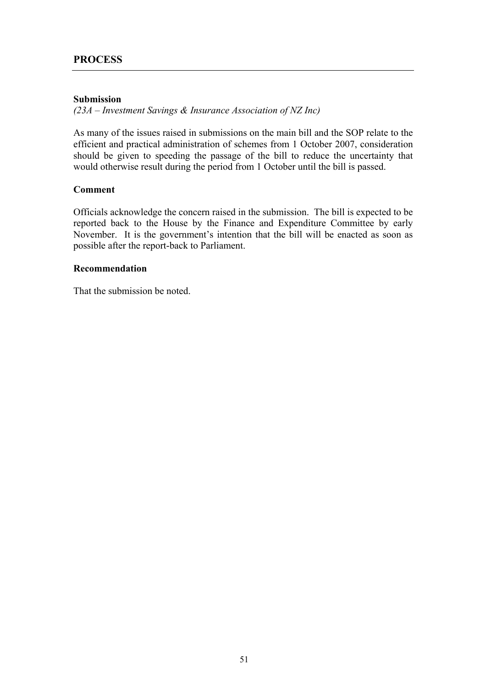## **Submission**

*(23A – Investment Savings & Insurance Association of NZ Inc)*

As many of the issues raised in submissions on the main bill and the SOP relate to the efficient and practical administration of schemes from 1 October 2007, consideration should be given to speeding the passage of the bill to reduce the uncertainty that would otherwise result during the period from 1 October until the bill is passed.

## **Comment**

Officials acknowledge the concern raised in the submission. The bill is expected to be reported back to the House by the Finance and Expenditure Committee by early November. It is the government's intention that the bill will be enacted as soon as possible after the report-back to Parliament.

## **Recommendation**

That the submission be noted.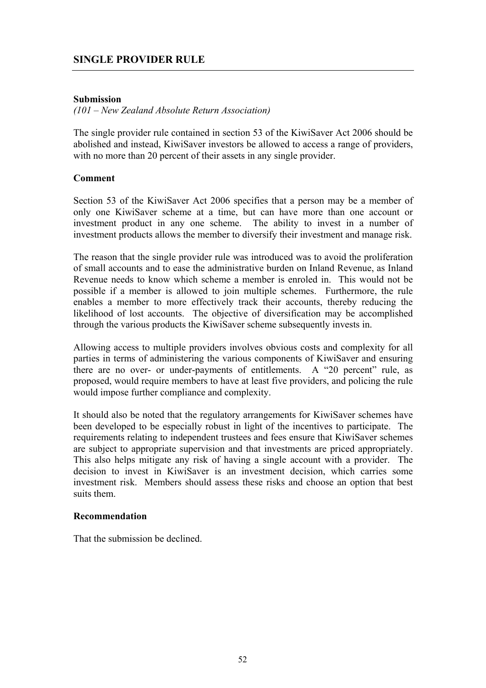## **Submission**

*(101 – New Zealand Absolute Return Association)*

The single provider rule contained in section 53 of the KiwiSaver Act 2006 should be abolished and instead, KiwiSaver investors be allowed to access a range of providers, with no more than 20 percent of their assets in any single provider.

## **Comment**

Section 53 of the KiwiSaver Act 2006 specifies that a person may be a member of only one KiwiSaver scheme at a time, but can have more than one account or investment product in any one scheme. The ability to invest in a number of investment products allows the member to diversify their investment and manage risk.

The reason that the single provider rule was introduced was to avoid the proliferation of small accounts and to ease the administrative burden on Inland Revenue, as Inland Revenue needs to know which scheme a member is enroled in. This would not be possible if a member is allowed to join multiple schemes. Furthermore, the rule enables a member to more effectively track their accounts, thereby reducing the likelihood of lost accounts. The objective of diversification may be accomplished through the various products the KiwiSaver scheme subsequently invests in.

Allowing access to multiple providers involves obvious costs and complexity for all parties in terms of administering the various components of KiwiSaver and ensuring there are no over- or under-payments of entitlements. A "20 percent" rule, as proposed, would require members to have at least five providers, and policing the rule would impose further compliance and complexity.

It should also be noted that the regulatory arrangements for KiwiSaver schemes have been developed to be especially robust in light of the incentives to participate. The requirements relating to independent trustees and fees ensure that KiwiSaver schemes are subject to appropriate supervision and that investments are priced appropriately. This also helps mitigate any risk of having a single account with a provider. The decision to invest in KiwiSaver is an investment decision, which carries some investment risk. Members should assess these risks and choose an option that best suits them.

## **Recommendation**

That the submission be declined.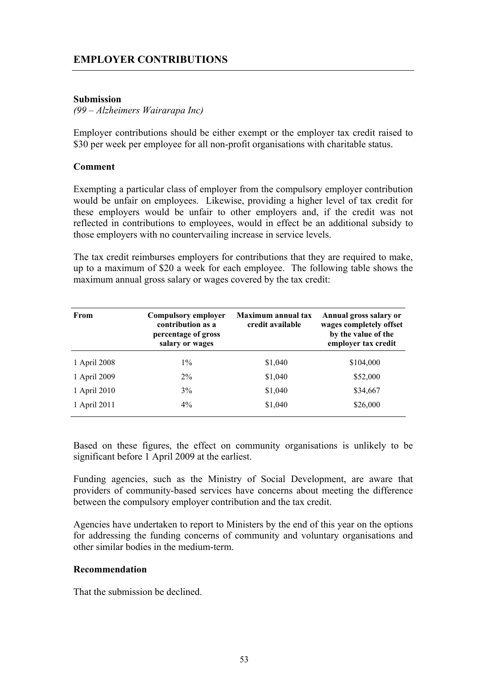## **EMPLOYER CONTRIBUTIONS**

## **Submission**

#### *(99 – Alzheimers Wairarapa Inc)*

Employer contributions should be either exempt or the employer tax credit raised to \$30 per week per employee for all non-profit organisations with charitable status.

## **Comment**

Exempting a particular class of employer from the compulsory employer contribution would be unfair on employees. Likewise, providing a higher level of tax credit for these employers would be unfair to other employers and, if the credit was not reflected in contributions to employees, would in effect be an additional subsidy to those employers with no countervailing increase in service levels.

The tax credit reimburses employers for contributions that they are required to make, up to a maximum of \$20 a week for each employee. The following table shows the maximum annual gross salary or wages covered by the tax credit:

| From         | <b>Compulsory employer</b><br>contribution as a<br>percentage of gross<br>salary or wages | <b>Maximum annual tax</b><br>credit available | Annual gross salary or<br>wages completely offset<br>by the value of the<br>employer tax credit |
|--------------|-------------------------------------------------------------------------------------------|-----------------------------------------------|-------------------------------------------------------------------------------------------------|
| 1 April 2008 | $1\%$                                                                                     | \$1,040                                       | \$104,000                                                                                       |
| 1 April 2009 | $2\%$                                                                                     | \$1,040                                       | \$52,000                                                                                        |
| 1 April 2010 | 3%                                                                                        | \$1,040                                       | \$34,667                                                                                        |
| 1 April 2011 | $4\%$                                                                                     | \$1,040                                       | \$26,000                                                                                        |

Based on these figures, the effect on community organisations is unlikely to be significant before 1 April 2009 at the earliest.

Funding agencies, such as the Ministry of Social Development, are aware that providers of community-based services have concerns about meeting the difference between the compulsory employer contribution and the tax credit.

Agencies have undertaken to report to Ministers by the end of this year on the options for addressing the funding concerns of community and voluntary organisations and other similar bodies in the medium-term.

#### **Recommendation**

That the submission be declined.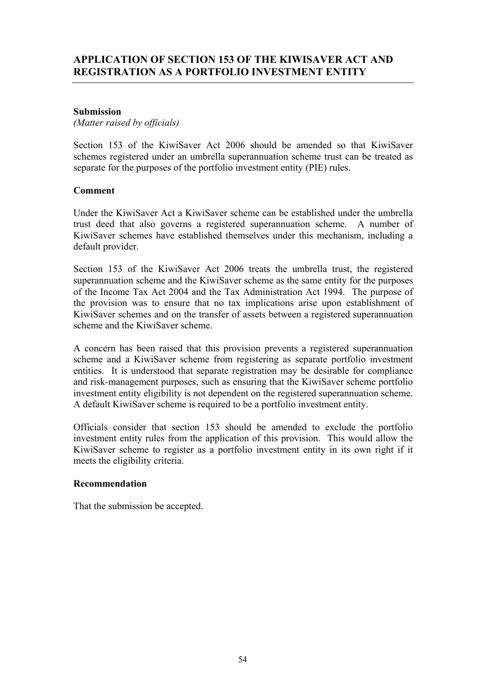## **APPLICATION OF SECTION 153 OF THE KIWISAVER ACT AND REGISTRATION AS A PORTFOLIO INVESTMENT ENTITY**

## **Submission**

*(Matter raised by officials)* 

Section 153 of the KiwiSaver Act 2006 should be amended so that KiwiSaver schemes registered under an umbrella superannuation scheme trust can be treated as separate for the purposes of the portfolio investment entity (PIE) rules.

## **Comment**

Under the KiwiSaver Act a KiwiSaver scheme can be established under the umbrella trust deed that also governs a registered superannuation scheme. A number of KiwiSaver schemes have established themselves under this mechanism, including a default provider.

Section 153 of the KiwiSaver Act 2006 treats the umbrella trust, the registered superannuation scheme and the KiwiSaver scheme as the same entity for the purposes of the Income Tax Act 2004 and the Tax Administration Act 1994. The purpose of the provision was to ensure that no tax implications arise upon establishment of KiwiSaver schemes and on the transfer of assets between a registered superannuation scheme and the KiwiSaver scheme.

A concern has been raised that this provision prevents a registered superannuation scheme and a KiwiSaver scheme from registering as separate portfolio investment entities. It is understood that separate registration may be desirable for compliance and risk-management purposes, such as ensuring that the KiwiSaver scheme portfolio investment entity eligibility is not dependent on the registered superannuation scheme. A default KiwiSaver scheme is required to be a portfolio investment entity.

Officials consider that section 153 should be amended to exclude the portfolio investment entity rules from the application of this provision. This would allow the KiwiSaver scheme to register as a portfolio investment entity in its own right if it meets the eligibility criteria.

## **Recommendation**

That the submission be accepted.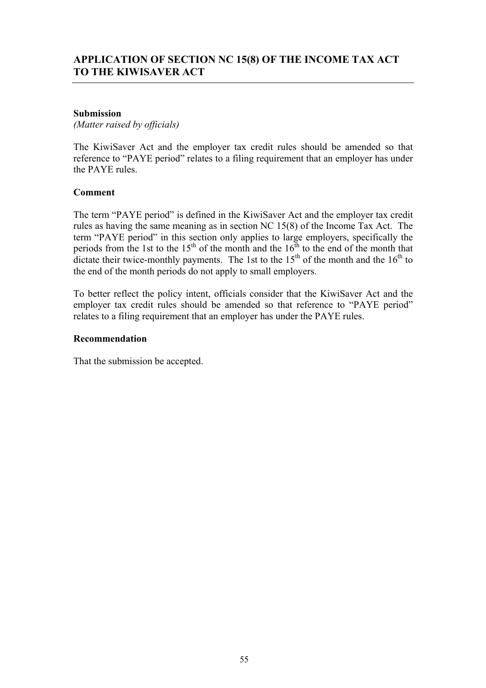## **Submission**

*(Matter raised by officials)* 

The KiwiSaver Act and the employer tax credit rules should be amended so that reference to "PAYE period" relates to a filing requirement that an employer has under the PAYE rules.

## **Comment**

The term "PAYE period" is defined in the KiwiSaver Act and the employer tax credit rules as having the same meaning as in section NC 15(8) of the Income Tax Act. The term "PAYE period" in this section only applies to large employers, specifically the periods from the 1st to the  $15<sup>th</sup>$  of the month and the  $16<sup>th</sup>$  to the end of the month that dictate their twice-monthly payments. The 1st to the  $15<sup>th</sup>$  of the month and the  $16<sup>th</sup>$  to the end of the month periods do not apply to small employers.

To better reflect the policy intent, officials consider that the KiwiSaver Act and the employer tax credit rules should be amended so that reference to "PAYE period" relates to a filing requirement that an employer has under the PAYE rules.

## **Recommendation**

That the submission be accepted.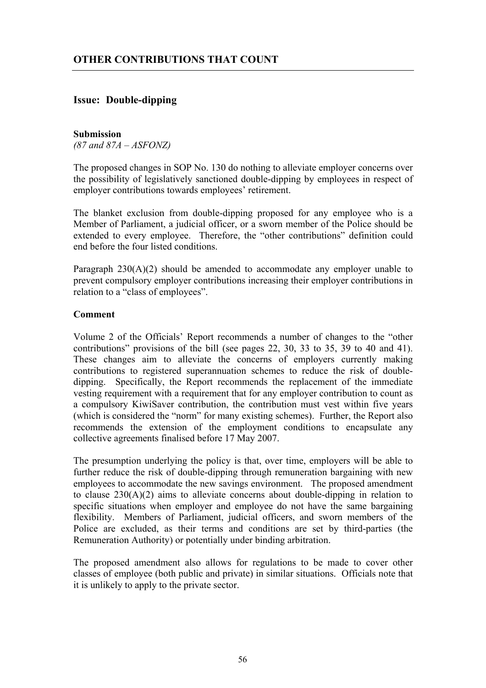## **Issue: Double-dipping**

#### **Submission**

*(87 and 87A – ASFONZ)*

The proposed changes in SOP No. 130 do nothing to alleviate employer concerns over the possibility of legislatively sanctioned double-dipping by employees in respect of employer contributions towards employees' retirement.

The blanket exclusion from double-dipping proposed for any employee who is a Member of Parliament, a judicial officer, or a sworn member of the Police should be extended to every employee. Therefore, the "other contributions" definition could end before the four listed conditions.

Paragraph 230(A)(2) should be amended to accommodate any employer unable to prevent compulsory employer contributions increasing their employer contributions in relation to a "class of employees".

## **Comment**

Volume 2 of the Officials' Report recommends a number of changes to the "other contributions" provisions of the bill (see pages 22, 30, 33 to 35, 39 to 40 and 41). These changes aim to alleviate the concerns of employers currently making contributions to registered superannuation schemes to reduce the risk of doubledipping. Specifically, the Report recommends the replacement of the immediate vesting requirement with a requirement that for any employer contribution to count as a compulsory KiwiSaver contribution, the contribution must vest within five years (which is considered the "norm" for many existing schemes). Further, the Report also recommends the extension of the employment conditions to encapsulate any collective agreements finalised before 17 May 2007.

The presumption underlying the policy is that, over time, employers will be able to further reduce the risk of double-dipping through remuneration bargaining with new employees to accommodate the new savings environment. The proposed amendment to clause 230(A)(2) aims to alleviate concerns about double-dipping in relation to specific situations when employer and employee do not have the same bargaining flexibility. Members of Parliament, judicial officers, and sworn members of the Police are excluded, as their terms and conditions are set by third-parties (the Remuneration Authority) or potentially under binding arbitration.

The proposed amendment also allows for regulations to be made to cover other classes of employee (both public and private) in similar situations. Officials note that it is unlikely to apply to the private sector.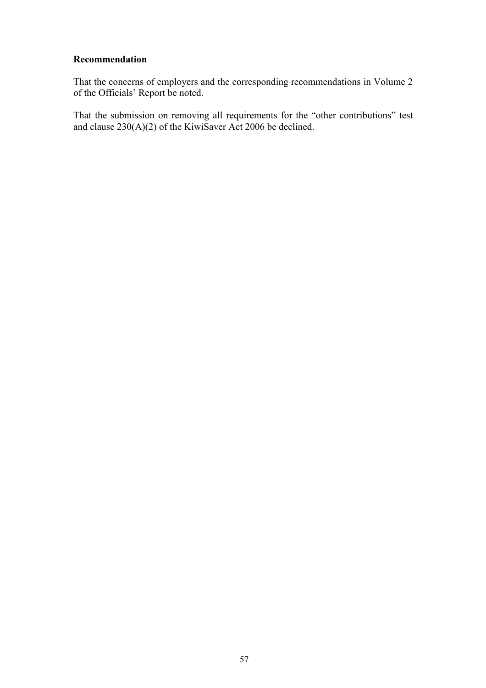## **Recommendation**

That the concerns of employers and the corresponding recommendations in Volume 2 of the Officials' Report be noted.

That the submission on removing all requirements for the "other contributions" test and clause 230(A)(2) of the KiwiSaver Act 2006 be declined.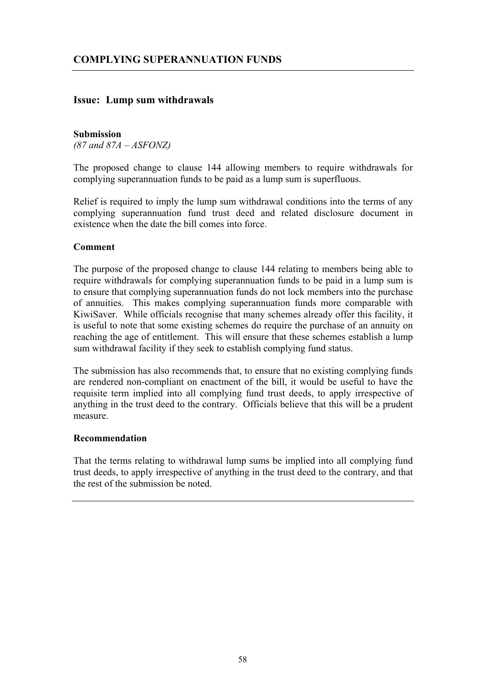## **Issue: Lump sum withdrawals**

#### **Submission**

*(87 and 87A – ASFONZ)*

The proposed change to clause 144 allowing members to require withdrawals for complying superannuation funds to be paid as a lump sum is superfluous.

Relief is required to imply the lump sum withdrawal conditions into the terms of any complying superannuation fund trust deed and related disclosure document in existence when the date the bill comes into force.

## **Comment**

The purpose of the proposed change to clause 144 relating to members being able to require withdrawals for complying superannuation funds to be paid in a lump sum is to ensure that complying superannuation funds do not lock members into the purchase of annuities. This makes complying superannuation funds more comparable with KiwiSaver. While officials recognise that many schemes already offer this facility, it is useful to note that some existing schemes do require the purchase of an annuity on reaching the age of entitlement. This will ensure that these schemes establish a lump sum withdrawal facility if they seek to establish complying fund status.

The submission has also recommends that, to ensure that no existing complying funds are rendered non-compliant on enactment of the bill, it would be useful to have the requisite term implied into all complying fund trust deeds, to apply irrespective of anything in the trust deed to the contrary. Officials believe that this will be a prudent measure.

## **Recommendation**

That the terms relating to withdrawal lump sums be implied into all complying fund trust deeds, to apply irrespective of anything in the trust deed to the contrary, and that the rest of the submission be noted.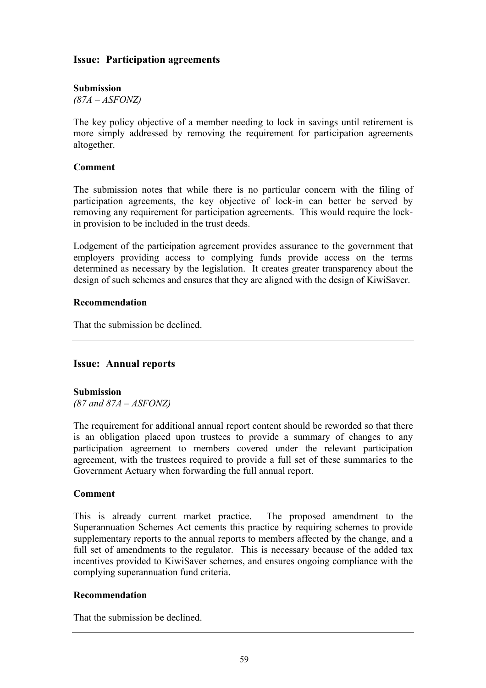## **Issue: Participation agreements**

## **Submission**

*(87A – ASFONZ)*

The key policy objective of a member needing to lock in savings until retirement is more simply addressed by removing the requirement for participation agreements altogether.

## **Comment**

The submission notes that while there is no particular concern with the filing of participation agreements, the key objective of lock-in can better be served by removing any requirement for participation agreements. This would require the lockin provision to be included in the trust deeds.

Lodgement of the participation agreement provides assurance to the government that employers providing access to complying funds provide access on the terms determined as necessary by the legislation. It creates greater transparency about the design of such schemes and ensures that they are aligned with the design of KiwiSaver.

## **Recommendation**

That the submission be declined.

## **Issue: Annual reports**

## **Submission**

*(87 and 87A – ASFONZ)*

The requirement for additional annual report content should be reworded so that there is an obligation placed upon trustees to provide a summary of changes to any participation agreement to members covered under the relevant participation agreement, with the trustees required to provide a full set of these summaries to the Government Actuary when forwarding the full annual report.

## **Comment**

This is already current market practice. The proposed amendment to the Superannuation Schemes Act cements this practice by requiring schemes to provide supplementary reports to the annual reports to members affected by the change, and a full set of amendments to the regulator. This is necessary because of the added tax incentives provided to KiwiSaver schemes, and ensures ongoing compliance with the complying superannuation fund criteria.

## **Recommendation**

That the submission be declined.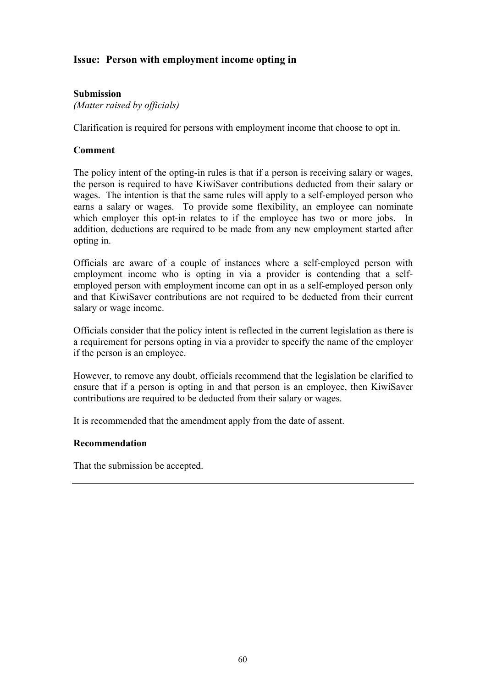## **Issue: Person with employment income opting in**

## **Submission**

*(Matter raised by officials)* 

Clarification is required for persons with employment income that choose to opt in.

## **Comment**

The policy intent of the opting-in rules is that if a person is receiving salary or wages, the person is required to have KiwiSaver contributions deducted from their salary or wages. The intention is that the same rules will apply to a self-employed person who earns a salary or wages. To provide some flexibility, an employee can nominate which employer this opt-in relates to if the employee has two or more jobs. In addition, deductions are required to be made from any new employment started after opting in.

Officials are aware of a couple of instances where a self-employed person with employment income who is opting in via a provider is contending that a selfemployed person with employment income can opt in as a self-employed person only and that KiwiSaver contributions are not required to be deducted from their current salary or wage income.

Officials consider that the policy intent is reflected in the current legislation as there is a requirement for persons opting in via a provider to specify the name of the employer if the person is an employee.

However, to remove any doubt, officials recommend that the legislation be clarified to ensure that if a person is opting in and that person is an employee, then KiwiSaver contributions are required to be deducted from their salary or wages.

It is recommended that the amendment apply from the date of assent.

## **Recommendation**

That the submission be accepted.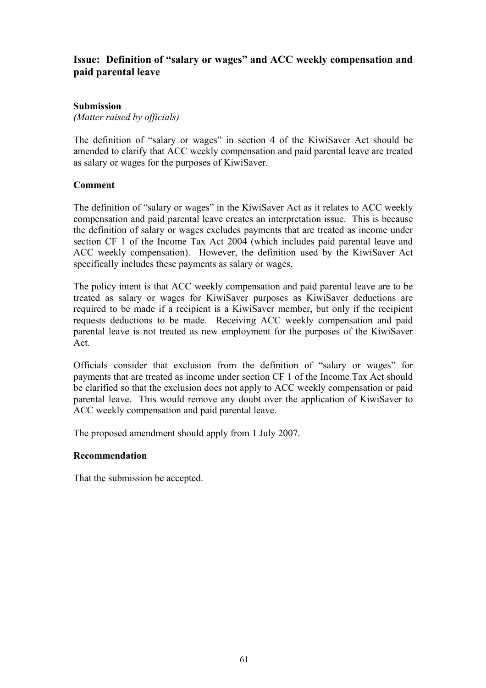## **Issue: Definition of "salary or wages" and ACC weekly compensation and paid parental leave**

## **Submission**

*(Matter raised by officials)* 

The definition of "salary or wages" in section 4 of the KiwiSaver Act should be amended to clarify that ACC weekly compensation and paid parental leave are treated as salary or wages for the purposes of KiwiSaver.

## **Comment**

The definition of "salary or wages" in the KiwiSaver Act as it relates to ACC weekly compensation and paid parental leave creates an interpretation issue. This is because the definition of salary or wages excludes payments that are treated as income under section CF 1 of the Income Tax Act 2004 (which includes paid parental leave and ACC weekly compensation). However, the definition used by the KiwiSaver Act specifically includes these payments as salary or wages.

The policy intent is that ACC weekly compensation and paid parental leave are to be treated as salary or wages for KiwiSaver purposes as KiwiSaver deductions are required to be made if a recipient is a KiwiSaver member, but only if the recipient requests deductions to be made. Receiving ACC weekly compensation and paid parental leave is not treated as new employment for the purposes of the KiwiSaver Act.

Officials consider that exclusion from the definition of "salary or wages" for payments that are treated as income under section CF 1 of the Income Tax Act should be clarified so that the exclusion does not apply to ACC weekly compensation or paid parental leave. This would remove any doubt over the application of KiwiSaver to ACC weekly compensation and paid parental leave.

The proposed amendment should apply from 1 July 2007.

## **Recommendation**

That the submission be accepted.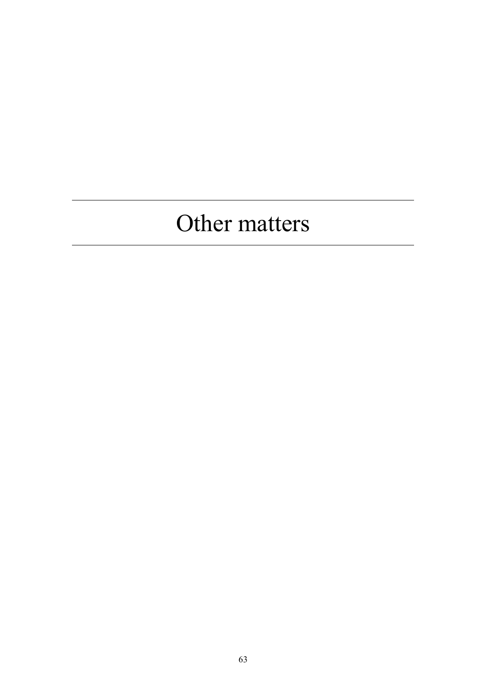## Other matters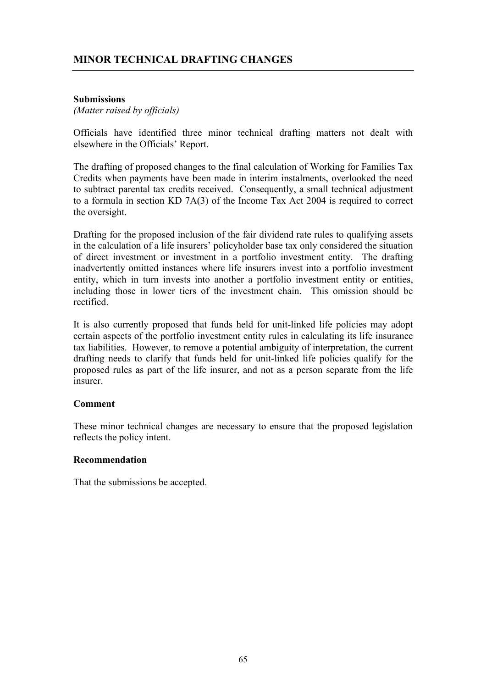## **Submissions**

*(Matter raised by officials)* 

Officials have identified three minor technical drafting matters not dealt with elsewhere in the Officials' Report.

The drafting of proposed changes to the final calculation of Working for Families Tax Credits when payments have been made in interim instalments, overlooked the need to subtract parental tax credits received. Consequently, a small technical adjustment to a formula in section KD 7A(3) of the Income Tax Act 2004 is required to correct the oversight.

Drafting for the proposed inclusion of the fair dividend rate rules to qualifying assets in the calculation of a life insurers' policyholder base tax only considered the situation of direct investment or investment in a portfolio investment entity. The drafting inadvertently omitted instances where life insurers invest into a portfolio investment entity, which in turn invests into another a portfolio investment entity or entities, including those in lower tiers of the investment chain. This omission should be rectified.

It is also currently proposed that funds held for unit-linked life policies may adopt certain aspects of the portfolio investment entity rules in calculating its life insurance tax liabilities. However, to remove a potential ambiguity of interpretation, the current drafting needs to clarify that funds held for unit-linked life policies qualify for the proposed rules as part of the life insurer, and not as a person separate from the life insurer.

## **Comment**

These minor technical changes are necessary to ensure that the proposed legislation reflects the policy intent.

## **Recommendation**

That the submissions be accepted.